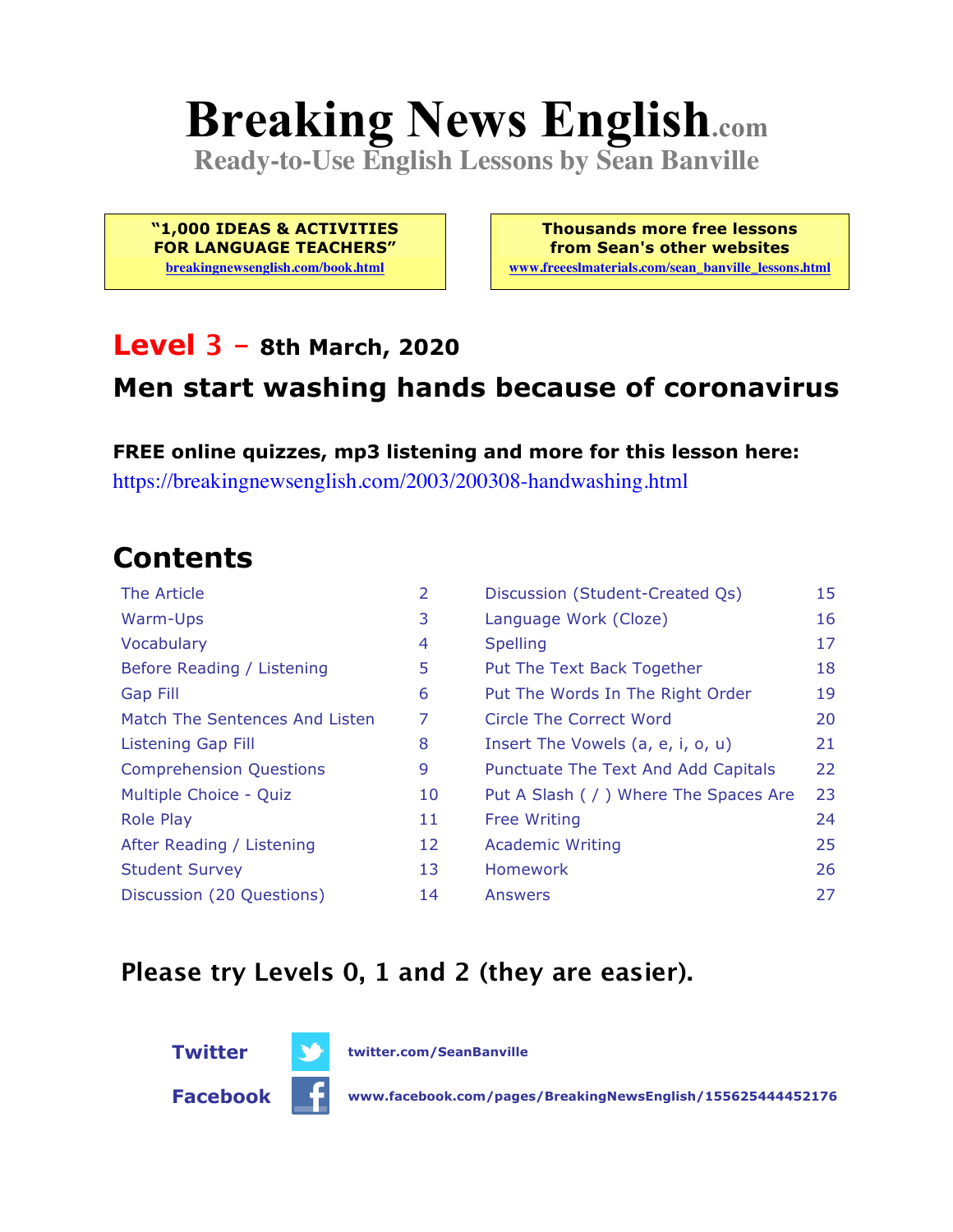# **Breaking News English.com**

**Ready-to-Use English Lessons by Sean Banville**

**"1,000 IDEAS & ACTIVITIES FOR LANGUAGE TEACHERS"**

**breakingnewsenglish.com/book.html**

**Thousands more free lessons from Sean's other websites www.freeeslmaterials.com/sean\_banville\_lessons.html**

#### **Level 3 - 8th March, 2020**

#### **Men start washing hands because of coronavirus**

**FREE online quizzes, mp3 listening and more for this lesson here:** https://breakingnewsenglish.com/2003/200308-handwashing.html

### **Contents**

| The Article                    | 2  | Discussion (Student-Created Qs)        | 15 |
|--------------------------------|----|----------------------------------------|----|
| Warm-Ups                       | 3  | Language Work (Cloze)                  | 16 |
| Vocabulary                     | 4  | <b>Spelling</b>                        | 17 |
| Before Reading / Listening     | 5  | Put The Text Back Together             | 18 |
| Gap Fill                       | 6  | Put The Words In The Right Order       | 19 |
| Match The Sentences And Listen | 7  | Circle The Correct Word                | 20 |
| Listening Gap Fill             | 8  | Insert The Vowels (a, e, i, o, u)      | 21 |
| <b>Comprehension Questions</b> | 9  | Punctuate The Text And Add Capitals    | 22 |
| Multiple Choice - Quiz         | 10 | Put A Slash ( / ) Where The Spaces Are | 23 |
| <b>Role Play</b>               | 11 | <b>Free Writing</b>                    | 24 |
| After Reading / Listening      | 12 | <b>Academic Writing</b>                | 25 |
| <b>Student Survey</b>          | 13 | Homework                               | 26 |
| Discussion (20 Questions)      | 14 | Answers                                | 27 |

#### **Please try Levels 0, 1 and 2 (they are easier).**



**Facebook www.facebook.com/pages/BreakingNewsEnglish/155625444452176**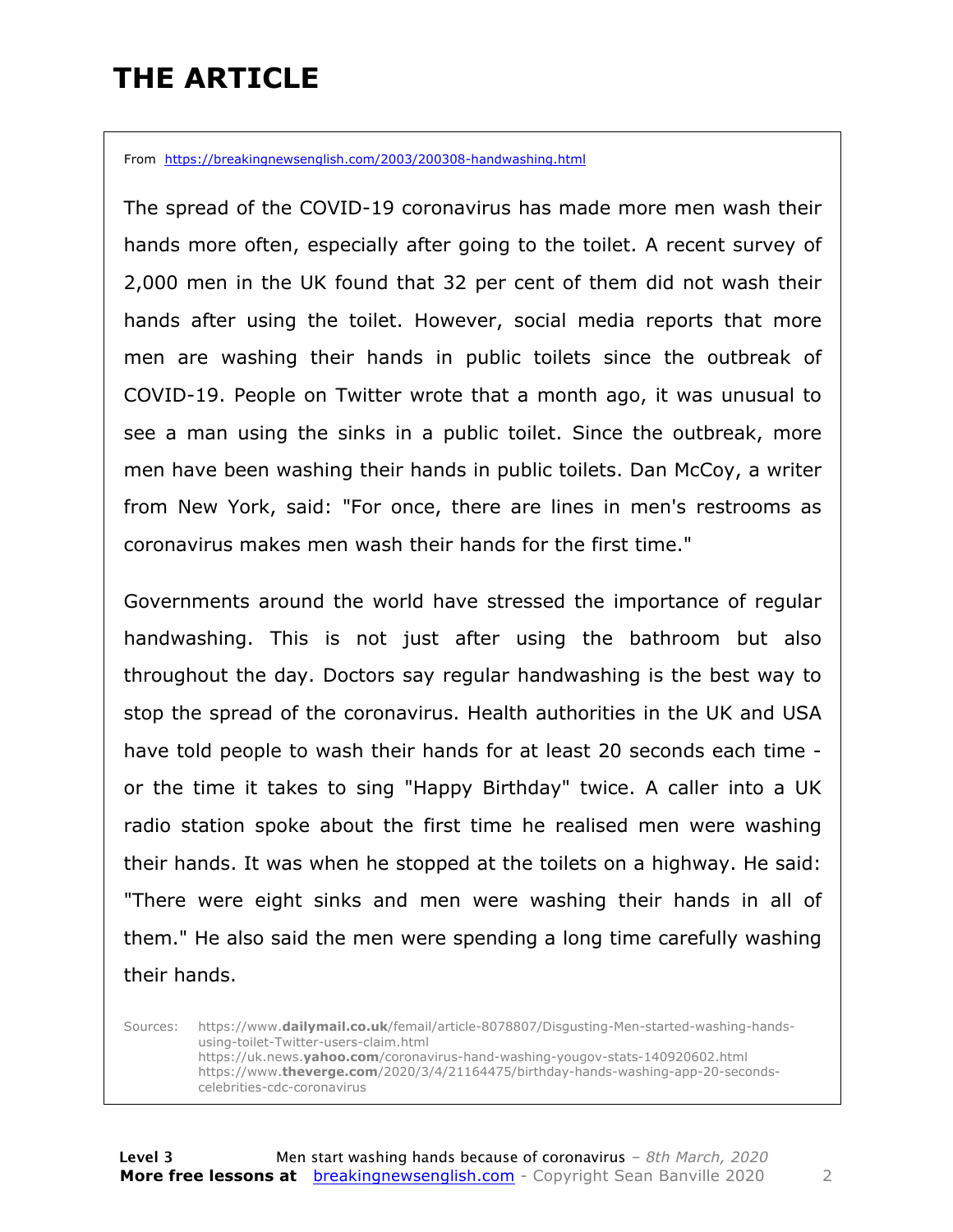### **THE ARTICLE**

From https://breakingnewsenglish.com/2003/200308-handwashing.html

The spread of the COVID-19 coronavirus has made more men wash their hands more often, especially after going to the toilet. A recent survey of 2,000 men in the UK found that 32 per cent of them did not wash their hands after using the toilet. However, social media reports that more men are washing their hands in public toilets since the outbreak of COVID-19. People on Twitter wrote that a month ago, it was unusual to see a man using the sinks in a public toilet. Since the outbreak, more men have been washing their hands in public toilets. Dan McCoy, a writer from New York, said: "For once, there are lines in men's restrooms as coronavirus makes men wash their hands for the first time."

Governments around the world have stressed the importance of regular handwashing. This is not just after using the bathroom but also throughout the day. Doctors say regular handwashing is the best way to stop the spread of the coronavirus. Health authorities in the UK and USA have told people to wash their hands for at least 20 seconds each time or the time it takes to sing "Happy Birthday" twice. A caller into a UK radio station spoke about the first time he realised men were washing their hands. It was when he stopped at the toilets on a highway. He said: "There were eight sinks and men were washing their hands in all of them." He also said the men were spending a long time carefully washing their hands.

Sources: https://www.**dailymail.co.uk**/femail/article-8078807/Disgusting-Men-started-washing-handsusing-toilet-Twitter-users-claim.html https://uk.news.**yahoo.com**/coronavirus-hand-washing-yougov-stats-140920602.html https://www.**theverge.com**/2020/3/4/21164475/birthday-hands-washing-app-20-secondscelebrities-cdc-coronavirus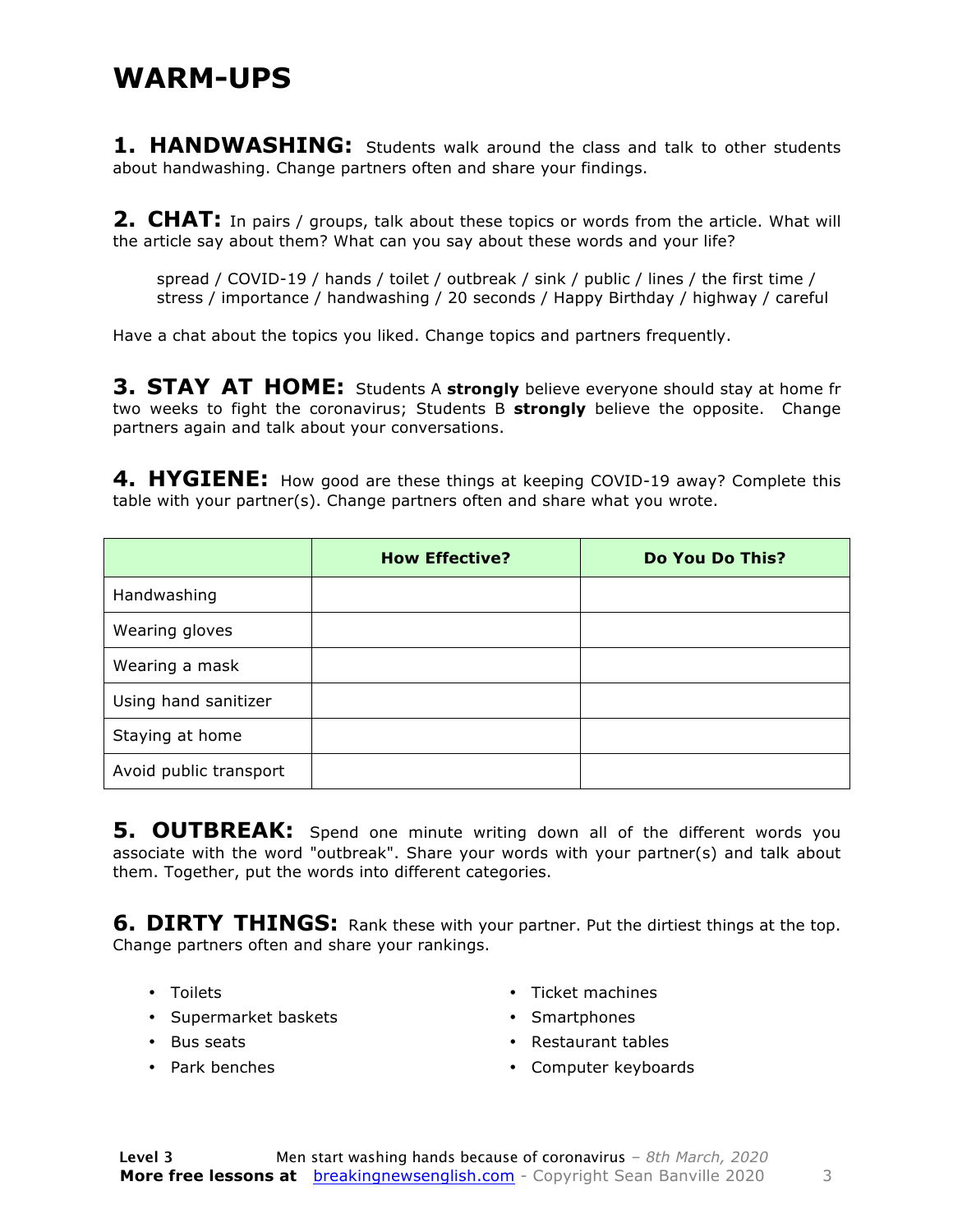#### **WARM-UPS**

**1. HANDWASHING:** Students walk around the class and talk to other students about handwashing. Change partners often and share your findings.

**2. CHAT:** In pairs / groups, talk about these topics or words from the article. What will the article say about them? What can you say about these words and your life?

spread / COVID-19 / hands / toilet / outbreak / sink / public / lines / the first time / stress / importance / handwashing / 20 seconds / Happy Birthday / highway / careful

Have a chat about the topics you liked. Change topics and partners frequently.

**3. STAY AT HOME:** Students A strongly believe everyone should stay at home fr two weeks to fight the coronavirus; Students B **strongly** believe the opposite. Change partners again and talk about your conversations.

**4. HYGIENE:** How good are these things at keeping COVID-19 away? Complete this table with your partner(s). Change partners often and share what you wrote.

|                        | <b>How Effective?</b> | Do You Do This? |
|------------------------|-----------------------|-----------------|
| Handwashing            |                       |                 |
| Wearing gloves         |                       |                 |
| Wearing a mask         |                       |                 |
| Using hand sanitizer   |                       |                 |
| Staying at home        |                       |                 |
| Avoid public transport |                       |                 |

**5. OUTBREAK:** Spend one minute writing down all of the different words you associate with the word "outbreak". Share your words with your partner(s) and talk about them. Together, put the words into different categories.

**6. DIRTY THINGS:** Rank these with your partner. Put the dirtiest things at the top. Change partners often and share your rankings.

- Toilets
- Supermarket baskets
- Bus seats
- Park benches
- Ticket machines
- Smartphones
- Restaurant tables
- Computer keyboards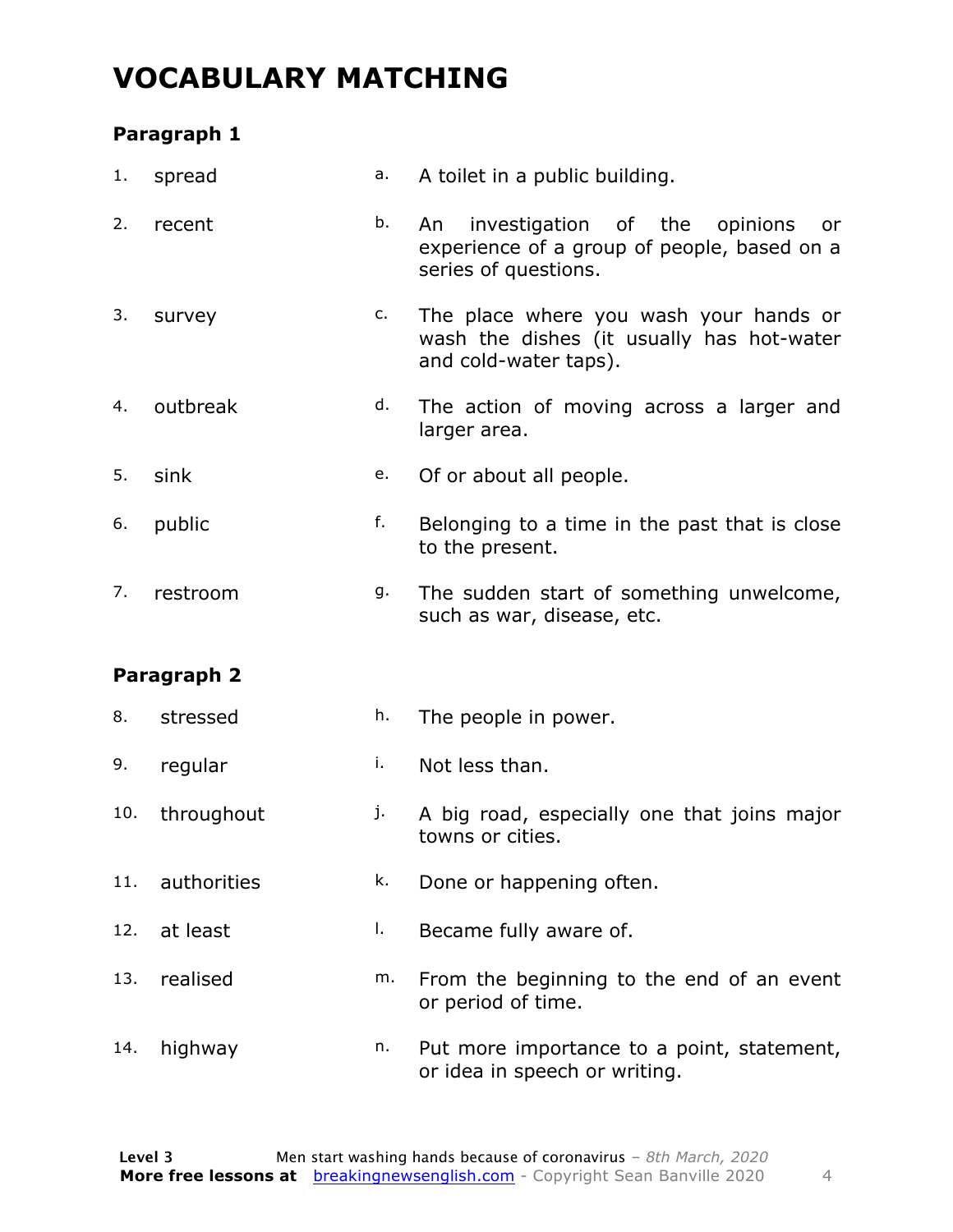### **VOCABULARY MATCHING**

#### **Paragraph 1**

| 1.  | spread      | a. | A toilet in a public building.                                                                                |  |  |  |  |  |
|-----|-------------|----|---------------------------------------------------------------------------------------------------------------|--|--|--|--|--|
| 2.  | recent      | b. | An investigation of the opinions<br>or<br>experience of a group of people, based on a<br>series of questions. |  |  |  |  |  |
| 3.  | survey      | c. | The place where you wash your hands or<br>wash the dishes (it usually has hot-water<br>and cold-water taps).  |  |  |  |  |  |
| 4.  | outbreak    | d. | The action of moving across a larger and<br>larger area.                                                      |  |  |  |  |  |
| 5.  | sink        | е. | Of or about all people.                                                                                       |  |  |  |  |  |
| 6.  | public      | f. | Belonging to a time in the past that is close<br>to the present.                                              |  |  |  |  |  |
| 7.  | restroom    | g. | The sudden start of something unwelcome,<br>such as war, disease, etc.                                        |  |  |  |  |  |
|     | Paragraph 2 |    |                                                                                                               |  |  |  |  |  |
|     |             |    |                                                                                                               |  |  |  |  |  |
| 8.  | stressed    | h. | The people in power.                                                                                          |  |  |  |  |  |
| 9.  | regular     | i. | Not less than.                                                                                                |  |  |  |  |  |
| 10. | throughout  | j. | A big road, especially one that joins major<br>towns or cities.                                               |  |  |  |  |  |
| 11. | authorities | k. | Done or happening often.                                                                                      |  |  |  |  |  |
| 12. | at least    | Ι. | Became fully aware of.                                                                                        |  |  |  |  |  |
| 13. | realised    | m. | From the beginning to the end of an event<br>or period of time.                                               |  |  |  |  |  |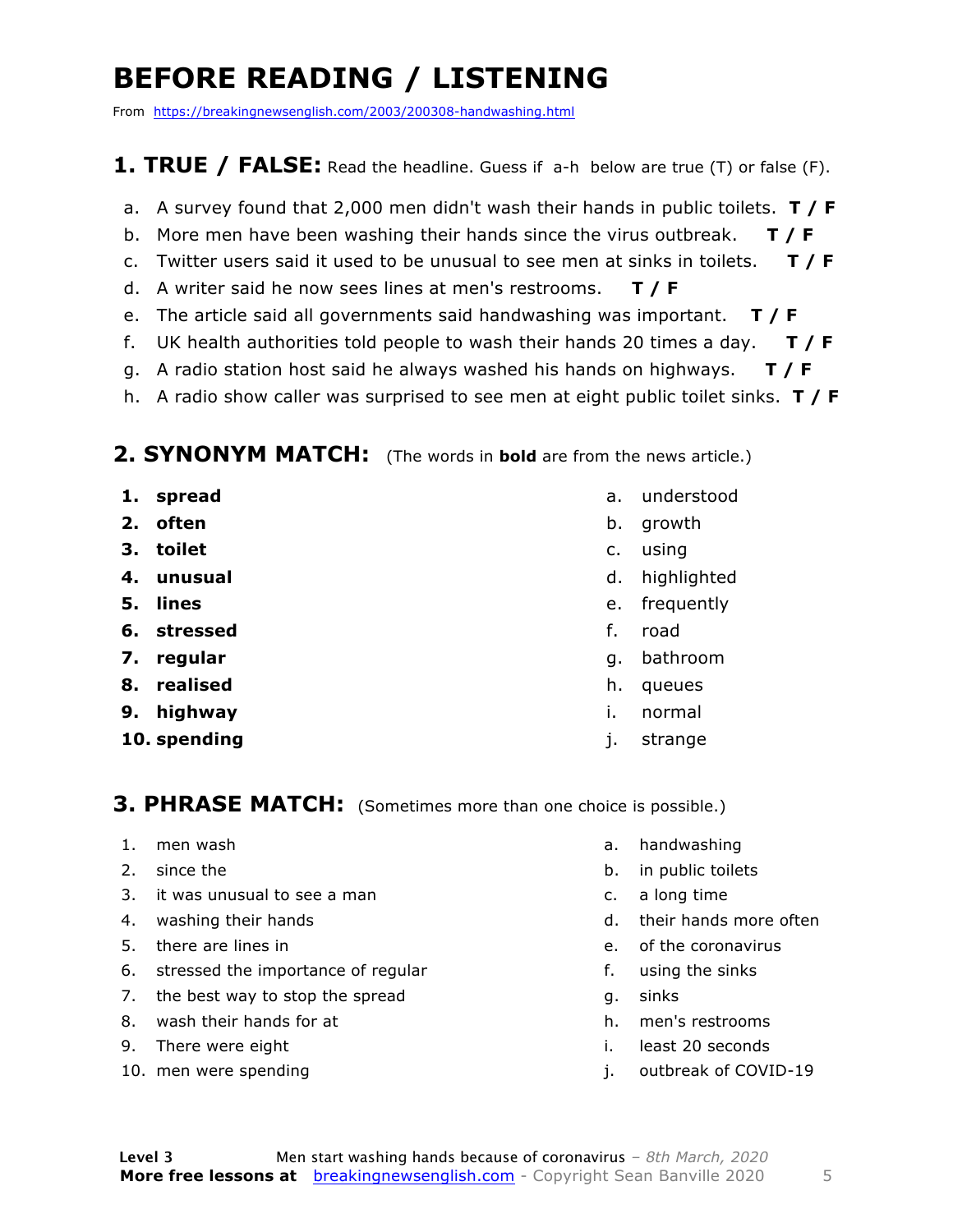### **BEFORE READING / LISTENING**

From https://breakingnewsenglish.com/2003/200308-handwashing.html

#### **1. TRUE / FALSE:** Read the headline. Guess if a-h below are true (T) or false (F).

- a. A survey found that 2,000 men didn't wash their hands in public toilets. **T / F**
- b. More men have been washing their hands since the virus outbreak. **T / F**
- c. Twitter users said it used to be unusual to see men at sinks in toilets. **T / F**
- d. A writer said he now sees lines at men's restrooms. **T / F**
- e. The article said all governments said handwashing was important. **T / F**
- f. UK health authorities told people to wash their hands 20 times a day. **T / F**
- g. A radio station host said he always washed his hands on highways. **T / F**
- h. A radio show caller was surprised to see men at eight public toilet sinks. **T / F**

#### **2. SYNONYM MATCH:** (The words in **bold** are from the news article.)

- **1. spread**
- **2. often**
- **3. toilet**
- **4. unusual**
- **5. lines**
- **6. stressed**
- **7. regular**
- **8. realised**
- **9. highway**
- **10. spending**
- a. understood
- b. growth
- c. using
- d. highlighted
- e. frequently
- f. road
- g. bathroom
- h. queues
- i. normal
- j. strange

#### **3. PHRASE MATCH:** (Sometimes more than one choice is possible.)

- 1. men wash
- 2. since the
- 3. it was unusual to see a man
- 4. washing their hands
- 5. there are lines in
- 6. stressed the importance of regular
- 7. the best way to stop the spread
- 8. wash their hands for at
- 9. There were eight
- 10. men were spending
- a. handwashing
- b. in public toilets
- c. a long time
- d. their hands more often
- e. of the coronavirus
- f. using the sinks
- g. sinks
- h. men's restrooms
- i. least 20 seconds
- j. outbreak of COVID-19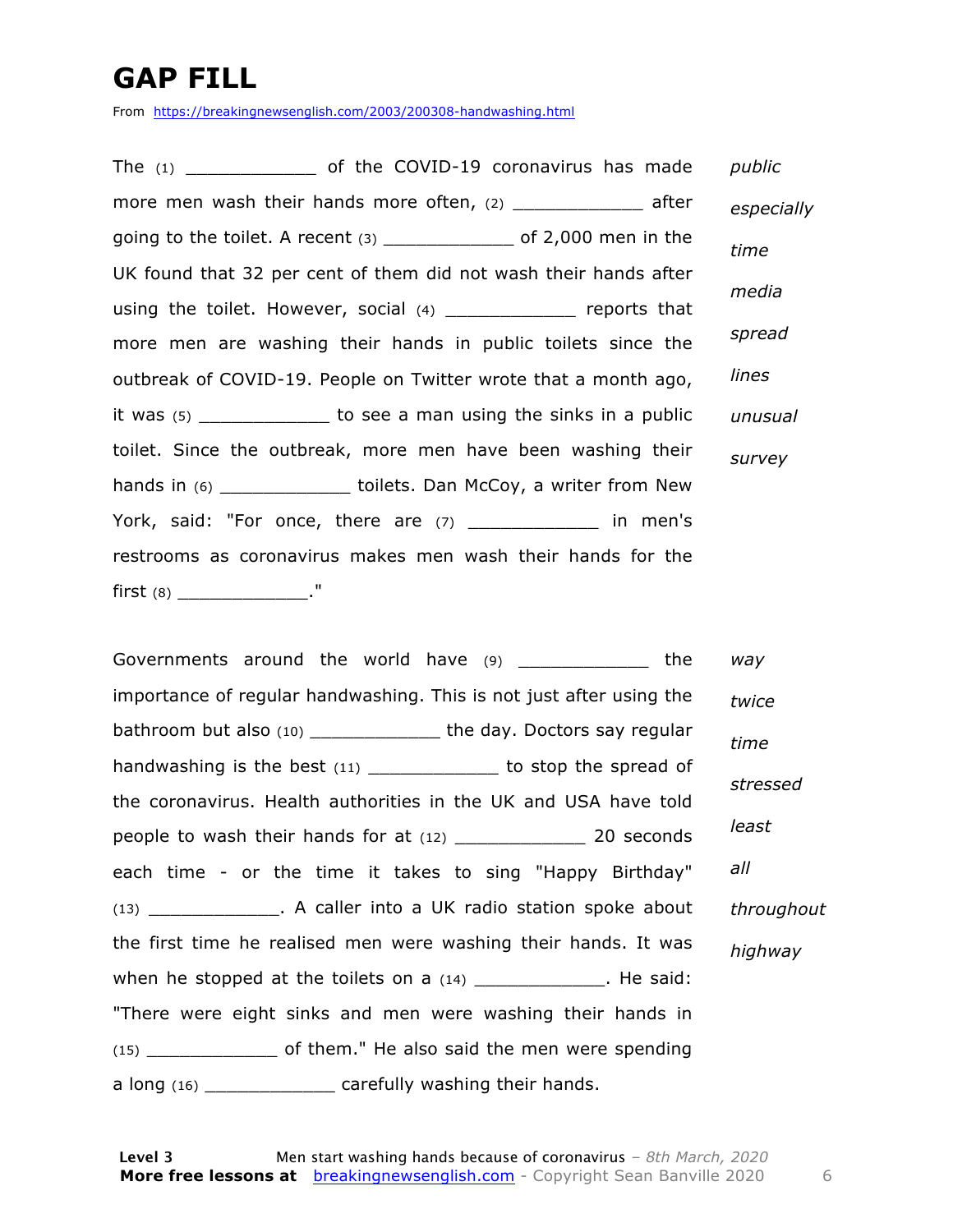### **GAP FILL**

From https://breakingnewsenglish.com/2003/200308-handwashing.html

The  $(1)$  of the COVID-19 coronavirus has made more men wash their hands more often,  $(2)$  \_\_\_\_\_\_\_\_\_\_\_\_\_ after going to the toilet. A recent  $(3)$  \_\_\_\_\_\_\_\_\_\_\_\_\_\_ of 2,000 men in the UK found that 32 per cent of them did not wash their hands after using the toilet. However, social (4) \_\_\_\_\_\_\_\_\_\_\_\_ reports that more men are washing their hands in public toilets since the outbreak of COVID-19. People on Twitter wrote that a month ago, it was (5) \_\_\_\_\_\_\_\_\_\_\_\_ to see a man using the sinks in a public toilet. Since the outbreak, more men have been washing their hands in (6) \_\_\_\_\_\_\_\_\_\_\_\_\_\_\_ toilets. Dan McCoy, a writer from New York, said: "For once, there are  $(7)$  \_\_\_\_\_\_\_\_\_\_\_\_\_ in men's restrooms as coronavirus makes men wash their hands for the first (8) \_\_\_\_\_\_\_\_\_\_\_\_\_\_\_\_." *public especially time media spread lines unusual survey*

Governments around the world have (9) The state of the importance of regular handwashing. This is not just after using the bathroom but also (10) \_\_\_\_\_\_\_\_\_\_\_\_ the day. Doctors say regular handwashing is the best  $(11)$  to stop the spread of the coronavirus. Health authorities in the UK and USA have told people to wash their hands for at (12) \_\_\_\_\_\_\_\_\_\_\_\_\_\_\_\_\_\_\_ 20 seconds each time - or the time it takes to sing "Happy Birthday" (13) \_\_\_\_\_\_\_\_\_\_\_\_. A caller into a UK radio station spoke about the first time he realised men were washing their hands. It was when he stopped at the toilets on a  $(14)$  \_\_\_\_\_\_\_\_\_\_\_\_\_\_. He said: "There were eight sinks and men were washing their hands in (15) \_\_\_\_\_\_\_\_\_\_\_\_ of them." He also said the men were spending a long (16) \_\_\_\_\_\_\_\_\_\_\_\_\_ carefully washing their hands. *way twice time stressed least all throughout highway*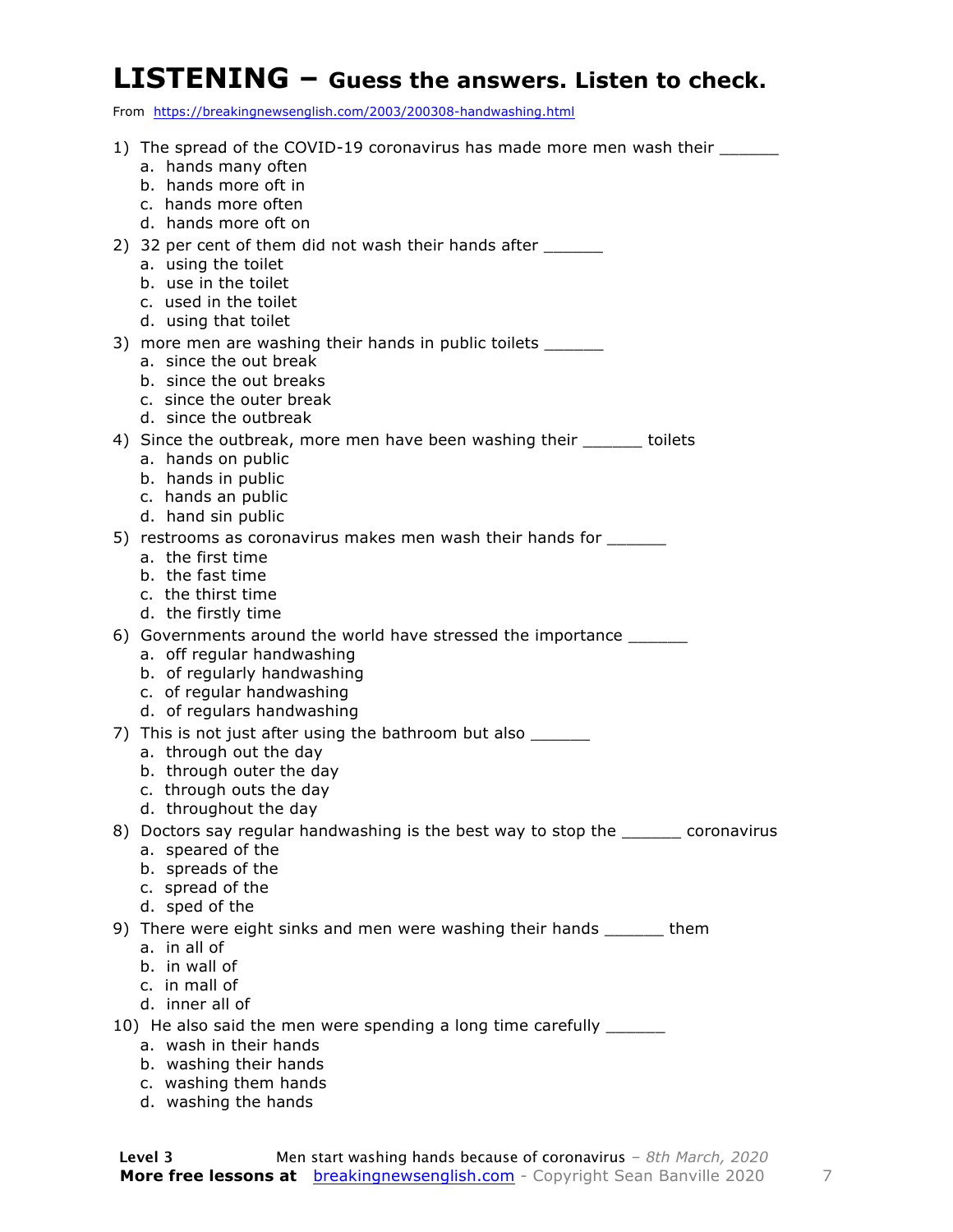#### **LISTENING – Guess the answers. Listen to check.**

From https://breakingnewsenglish.com/2003/200308-handwashing.html

| 1) The spread of the COVID-19 coronavirus has made more men wash their ________               |
|-----------------------------------------------------------------------------------------------|
| a. hands many often                                                                           |
| b. hands more oft in                                                                          |
| c. hands more often                                                                           |
| d. hands more oft on                                                                          |
| 2) 32 per cent of them did not wash their hands after                                         |
| a. using the toilet<br>b. use in the toilet                                                   |
| c. used in the toilet                                                                         |
| d. using that toilet                                                                          |
| 3) more men are washing their hands in public toilets _______                                 |
| a. since the out break                                                                        |
| b. since the out breaks                                                                       |
| c. since the outer break                                                                      |
| d. since the outbreak                                                                         |
| 4) Since the outbreak, more men have been washing their _______ toilets<br>a. hands on public |
| b. hands in public                                                                            |
| c. hands an public                                                                            |
| d. hand sin public                                                                            |
| 5) restrooms as coronavirus makes men wash their hands for ______                             |
| a. the first time                                                                             |
| b. the fast time                                                                              |
| c. the thirst time<br>d. the firstly time                                                     |
| 6) Governments around the world have stressed the importance ________                         |
| a. off regular handwashing                                                                    |
| b. of regularly handwashing                                                                   |
| c. of regular handwashing                                                                     |
| d. of regulars handwashing                                                                    |
| 7) This is not just after using the bathroom but also ______                                  |
| a. through out the day                                                                        |
| b. through outer the day<br>c. through outs the day                                           |
| d. throughout the day                                                                         |
| 8) Doctors say regular handwashing is the best way to stop the ______ coronavirus             |
| a. speared of the                                                                             |
| b. spreads of the                                                                             |
| c. spread of the                                                                              |
| d. sped of the                                                                                |
| 9) There were eight sinks and men were washing their hands _______ them<br>a. in all of       |
| b. in wall of                                                                                 |
| c. in mall of                                                                                 |
| d. inner all of                                                                               |
| 10) He also said the men were spending a long time carefully _______                          |
| a. wash in their hands                                                                        |
| b. washing their hands<br>c. washing them hands                                               |
|                                                                                               |

d. washing the hands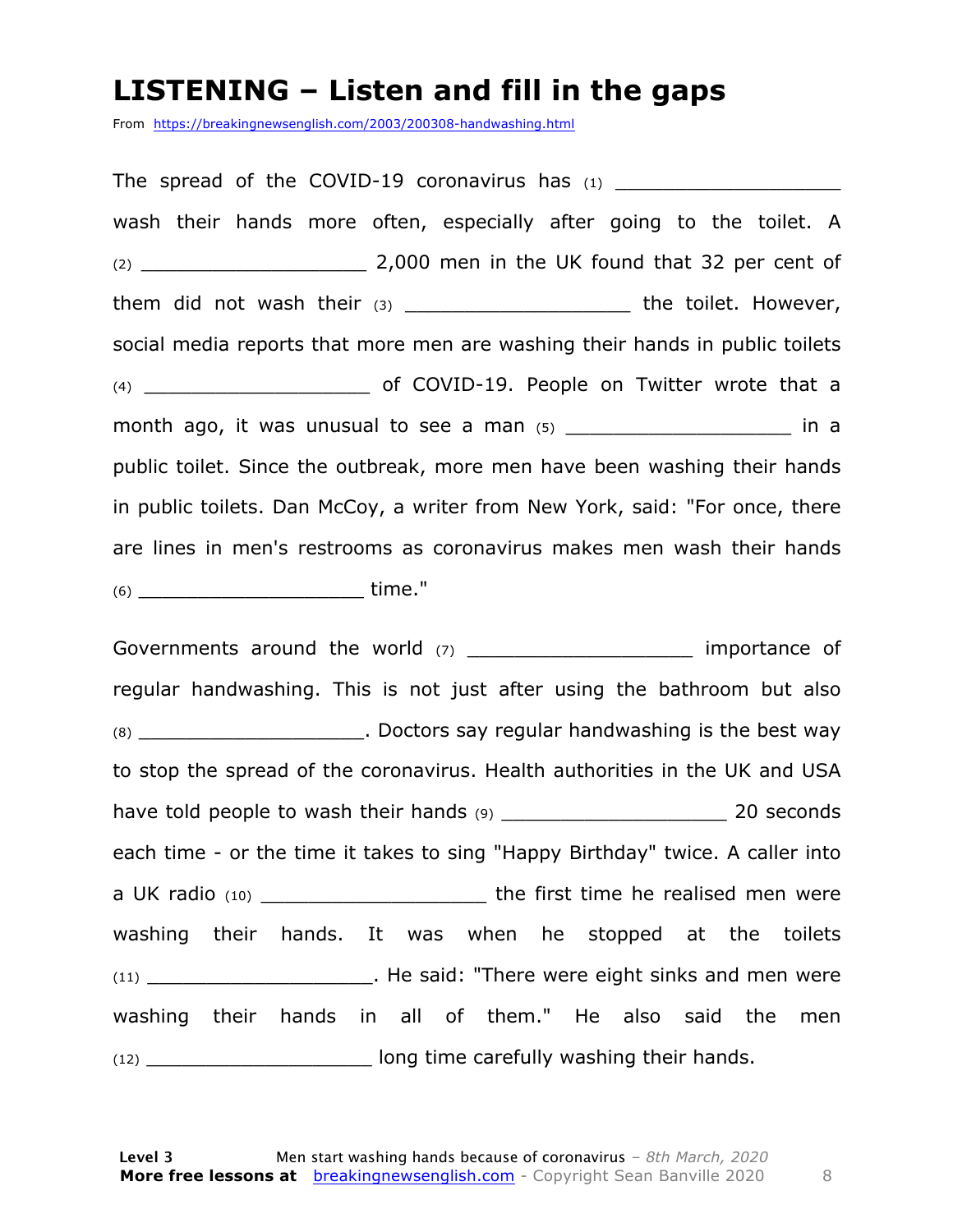#### **LISTENING – Listen and fill in the gaps**

From https://breakingnewsenglish.com/2003/200308-handwashing.html

The spread of the COVID-19 coronavirus has  $(1)$ wash their hands more often, especially after going to the toilet. A (2) \_\_\_\_\_\_\_\_\_\_\_\_\_\_\_\_\_\_\_ 2,000 men in the UK found that 32 per cent of them did not wash their (3) \_\_\_\_\_\_\_\_\_\_\_\_\_\_\_\_\_\_\_\_\_\_\_\_ the toilet. However, social media reports that more men are washing their hands in public toilets (4) **contract of COVID-19. People on Twitter wrote that a** month ago, it was unusual to see a man  $(5)$  \_\_\_\_\_\_\_\_\_\_\_\_\_\_\_\_\_\_\_\_\_\_\_\_\_\_\_ in a public toilet. Since the outbreak, more men have been washing their hands in public toilets. Dan McCoy, a writer from New York, said: "For once, there are lines in men's restrooms as coronavirus makes men wash their hands (6) \_\_\_\_\_\_\_\_\_\_\_\_\_\_\_\_\_\_\_ time."

Governments around the world (7) \_\_\_\_\_\_\_\_\_\_\_\_\_\_\_\_\_\_\_\_\_\_ importance of regular handwashing. This is not just after using the bathroom but also (8) \_\_\_\_\_\_\_\_\_\_\_\_\_\_\_\_\_\_\_. Doctors say regular handwashing is the best way to stop the spread of the coronavirus. Health authorities in the UK and USA have told people to wash their hands (9) \_\_\_\_\_\_\_\_\_\_\_\_\_\_\_\_\_\_\_ 20 seconds each time - or the time it takes to sing "Happy Birthday" twice. A caller into a UK radio (10) \_\_\_\_\_\_\_\_\_\_\_\_\_\_\_\_\_\_\_\_\_\_\_\_\_\_\_the first time he realised men were washing their hands. It was when he stopped at the toilets (11) \_\_\_\_\_\_\_\_\_\_\_\_\_\_\_\_\_\_\_. He said: "There were eight sinks and men were washing their hands in all of them." He also said the men (12) \_\_\_\_\_\_\_\_\_\_\_\_\_\_\_\_\_\_\_ long time carefully washing their hands.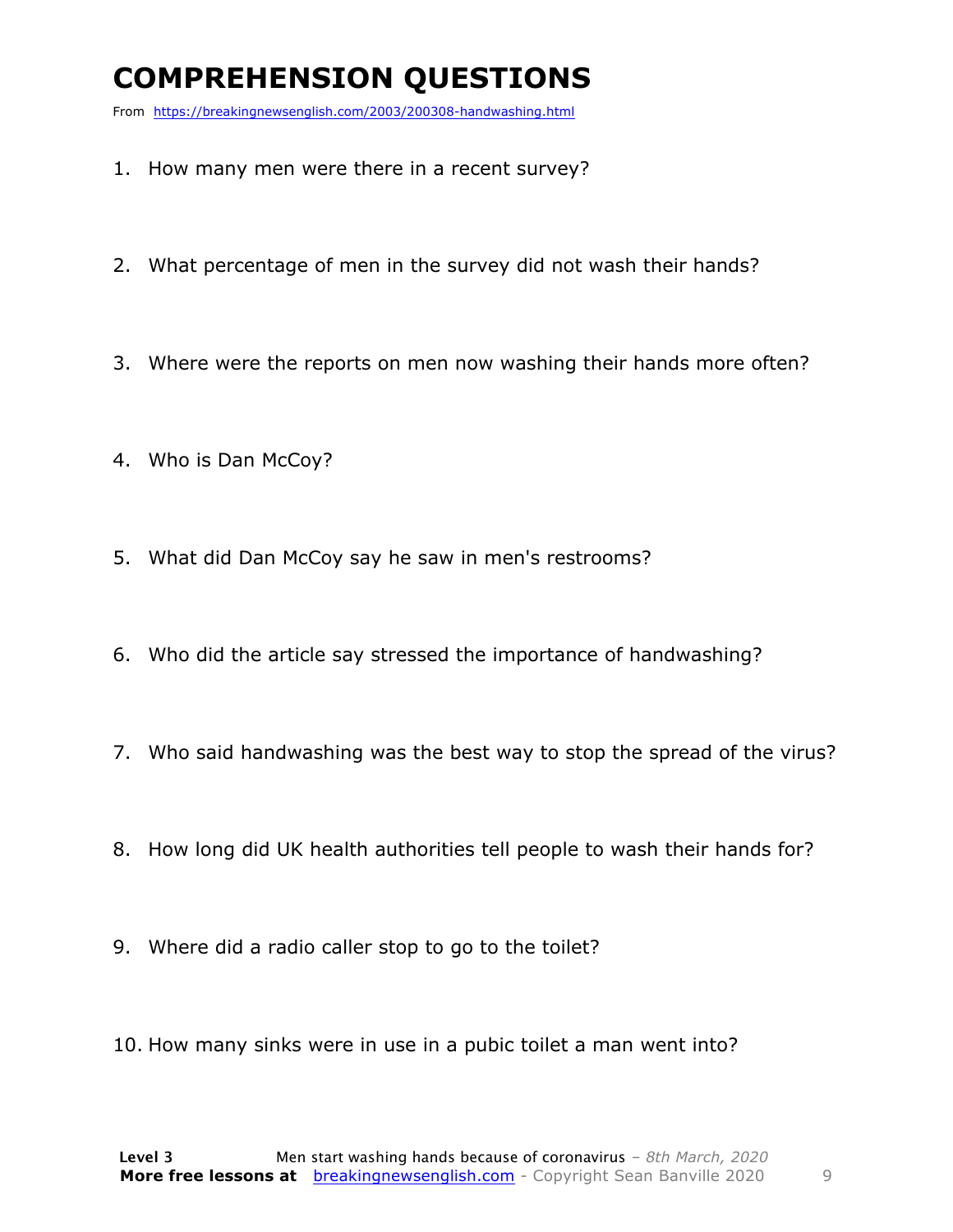### **COMPREHENSION QUESTIONS**

From https://breakingnewsenglish.com/2003/200308-handwashing.html

- 1. How many men were there in a recent survey?
- 2. What percentage of men in the survey did not wash their hands?
- 3. Where were the reports on men now washing their hands more often?
- 4. Who is Dan McCoy?
- 5. What did Dan McCoy say he saw in men's restrooms?
- 6. Who did the article say stressed the importance of handwashing?
- 7. Who said handwashing was the best way to stop the spread of the virus?
- 8. How long did UK health authorities tell people to wash their hands for?
- 9. Where did a radio caller stop to go to the toilet?
- 10. How many sinks were in use in a pubic toilet a man went into?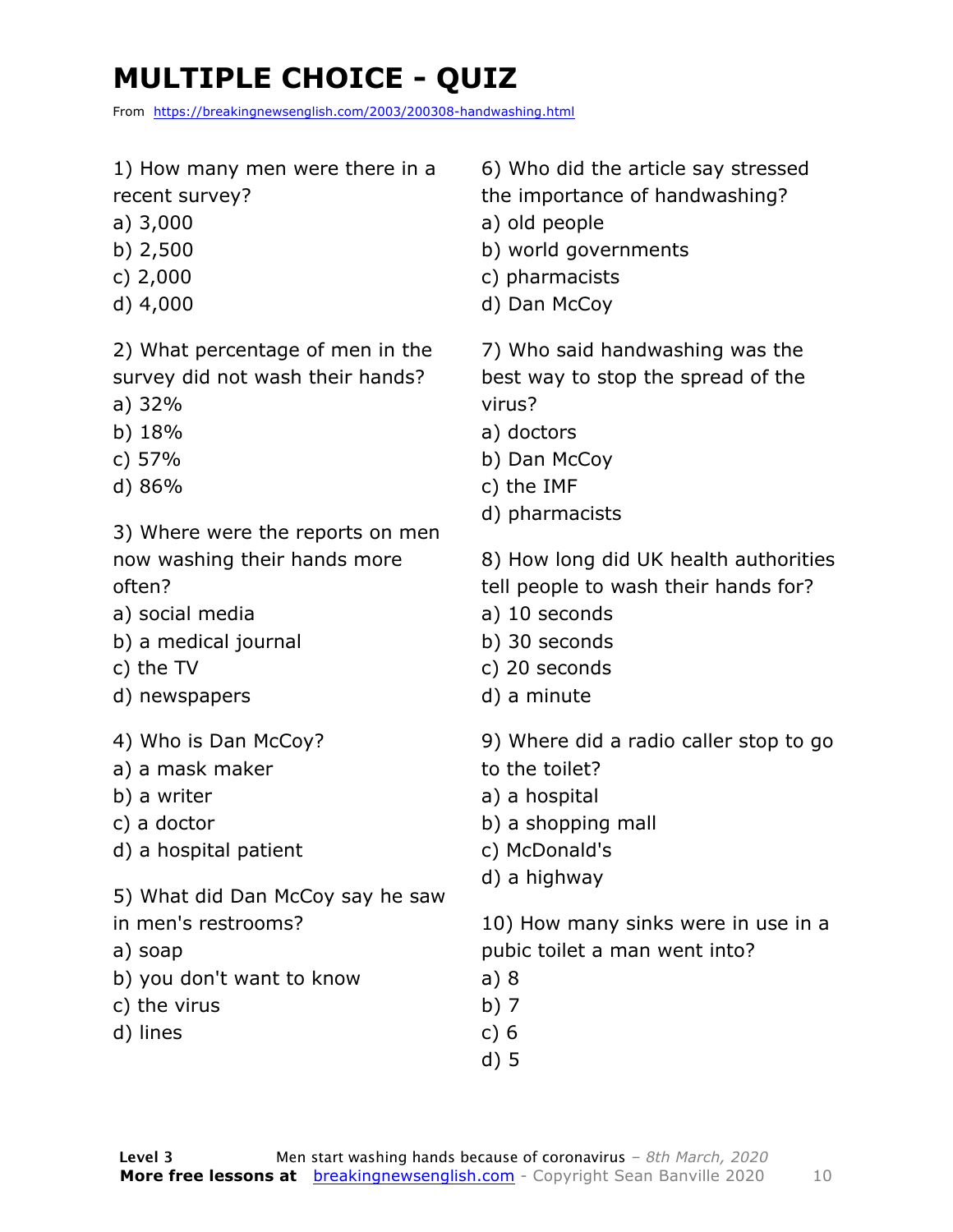## **MULTIPLE CHOICE - QUIZ**

From https://breakingnewsenglish.com/2003/200308-handwashing.html

- 1) How many men were there in a recent survey?
- a) 3,000
- b) 2,500
- c) 2,000
- d) 4,000

2) What percentage of men in the survey did not wash their hands?

- a) 32%
- b) 18%
- c) 57%
- d) 86%

3) Where were the reports on men now washing their hands more often?

- a) social media
- b) a medical journal
- c) the TV
- d) newspapers
- 4) Who is Dan McCoy?
- a) a mask maker
- b) a writer
- c) a doctor
- d) a hospital patient
- 5) What did Dan McCoy say he saw
- in men's restrooms?
- a) soap
- b) you don't want to know
- c) the virus
- d) lines

6) Who did the article say stressed the importance of handwashing?

- a) old people
- b) world governments
- c) pharmacists
- d) Dan McCoy

7) Who said handwashing was the best way to stop the spread of the virus?

- a) doctors
- b) Dan McCoy
- c) the IMF
- d) pharmacists
- 8) How long did UK health authorities
- tell people to wash their hands for?
- a) 10 seconds
- b) 30 seconds
- c) 20 seconds
- d) a minute
- 9) Where did a radio caller stop to go
- to the toilet?
- a) a hospital
- b) a shopping mall
- c) McDonald's
- d) a highway

10) How many sinks were in use in a pubic toilet a man went into?

- a) 8
- b) 7
- c) 6
- d) 5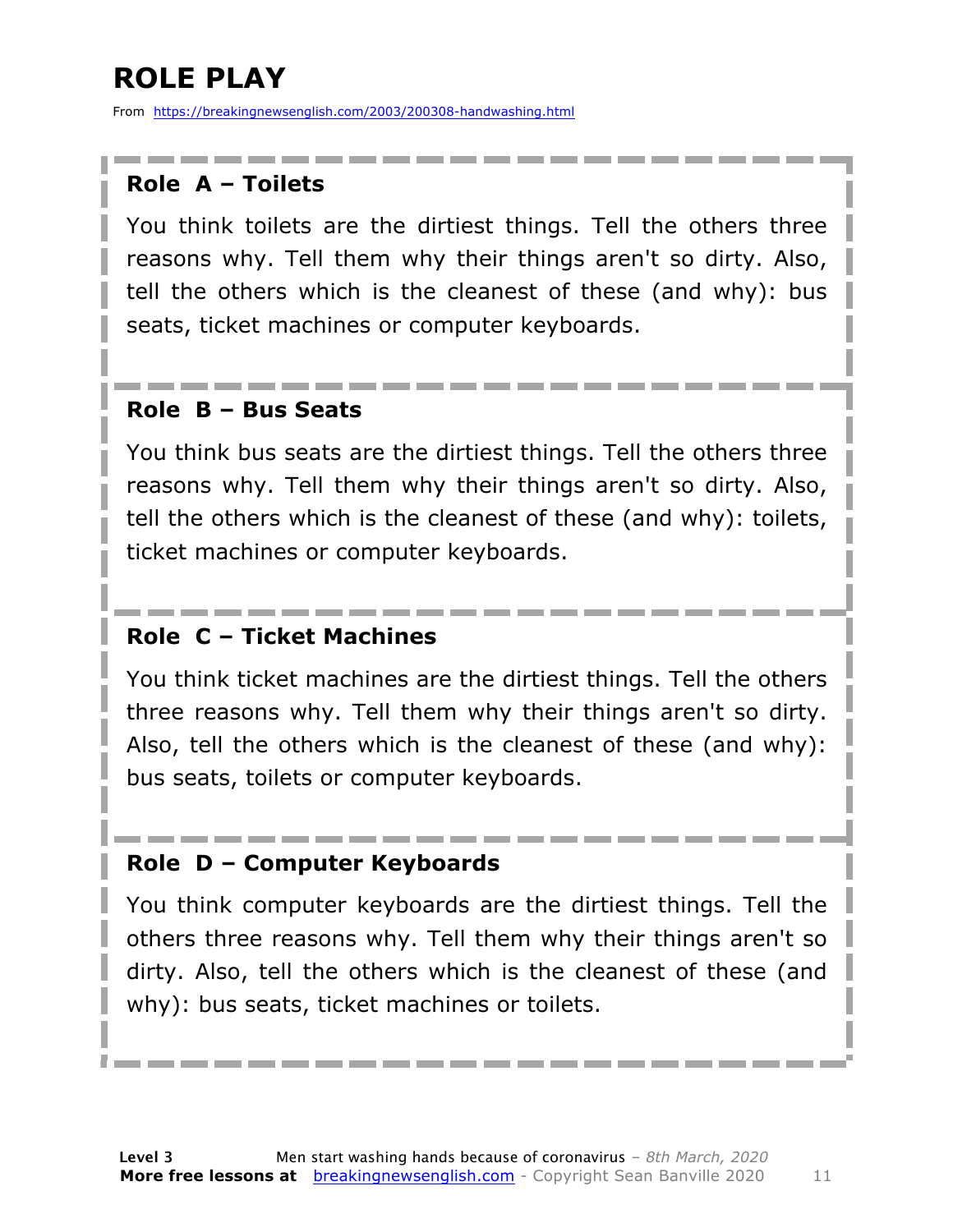### **ROLE PLAY**

From https://breakingnewsenglish.com/2003/200308-handwashing.html

#### **Role A – Toilets**

You think toilets are the dirtiest things. Tell the others three reasons why. Tell them why their things aren't so dirty. Also, tell the others which is the cleanest of these (and why): bus seats, ticket machines or computer keyboards.

#### **Role B – Bus Seats**

You think bus seats are the dirtiest things. Tell the others three reasons why. Tell them why their things aren't so dirty. Also, tell the others which is the cleanest of these (and why): toilets, ticket machines or computer keyboards.

#### **Role C – Ticket Machines**

You think ticket machines are the dirtiest things. Tell the others three reasons why. Tell them why their things aren't so dirty. Also, tell the others which is the cleanest of these (and why): bus seats, toilets or computer keyboards.

#### **Role D – Computer Keyboards**

You think computer keyboards are the dirtiest things. Tell the others three reasons why. Tell them why their things aren't so dirty. Also, tell the others which is the cleanest of these (and why): bus seats, ticket machines or toilets.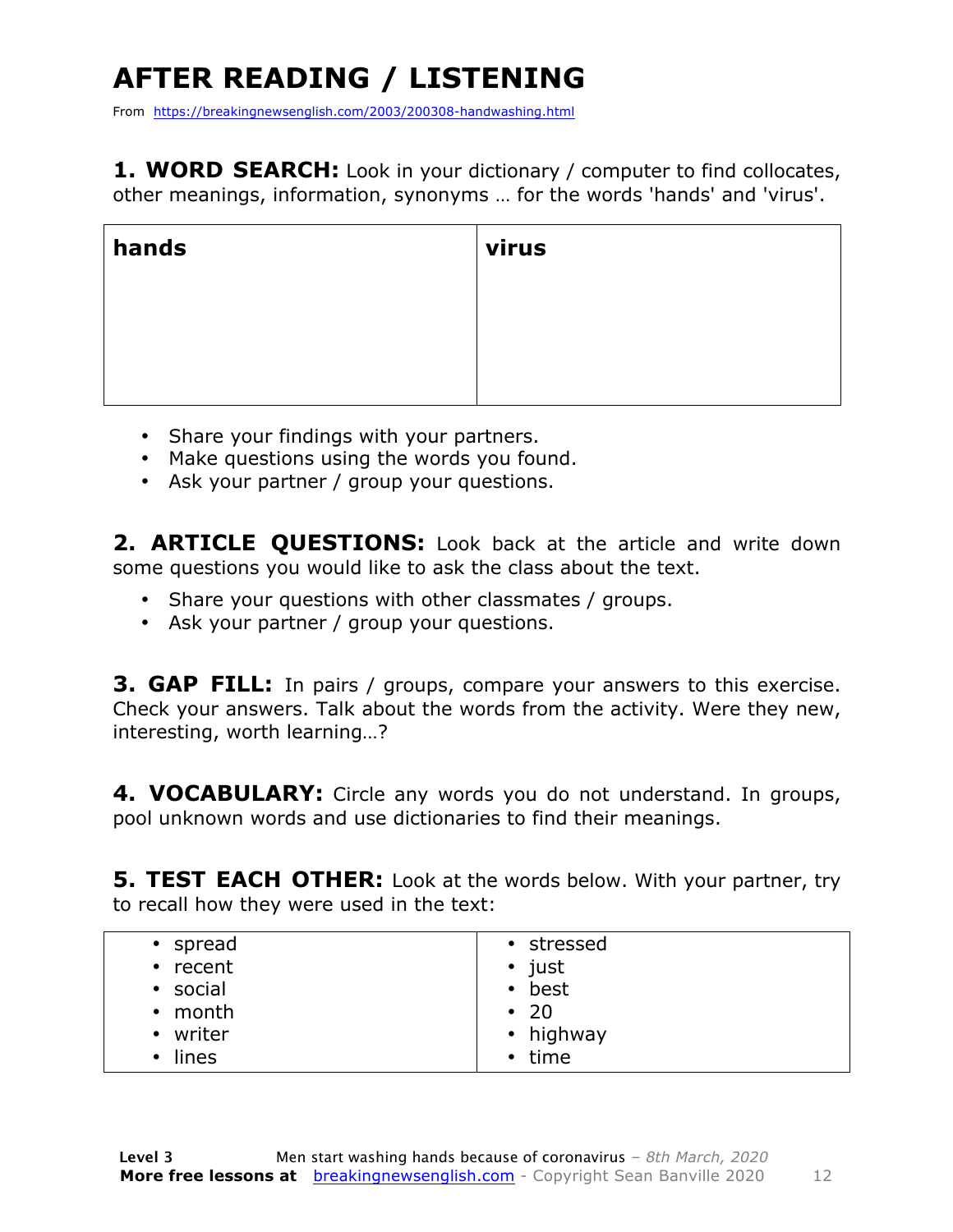## **AFTER READING / LISTENING**

From https://breakingnewsenglish.com/2003/200308-handwashing.html

**1. WORD SEARCH:** Look in your dictionary / computer to find collocates, other meanings, information, synonyms … for the words 'hands' and 'virus'.

| hands | virus |
|-------|-------|
|       |       |
|       |       |
|       |       |

- Share your findings with your partners.
- Make questions using the words you found.
- Ask your partner / group your questions.

2. **ARTICLE OUESTIONS:** Look back at the article and write down some questions you would like to ask the class about the text.

- Share your questions with other classmates / groups.
- Ask your partner / group your questions.

**3. GAP FILL:** In pairs / groups, compare your answers to this exercise. Check your answers. Talk about the words from the activity. Were they new, interesting, worth learning…?

**4. VOCABULARY:** Circle any words you do not understand. In groups, pool unknown words and use dictionaries to find their meanings.

**5. TEST EACH OTHER:** Look at the words below. With your partner, try to recall how they were used in the text:

| • spread | • stressed     |
|----------|----------------|
| • recent | $\bullet$ just |
|          |                |
| • social | • best         |
| • month  | $\cdot$ 20     |
| • writer | • highway      |
|          |                |
| • lines  | • time         |
|          |                |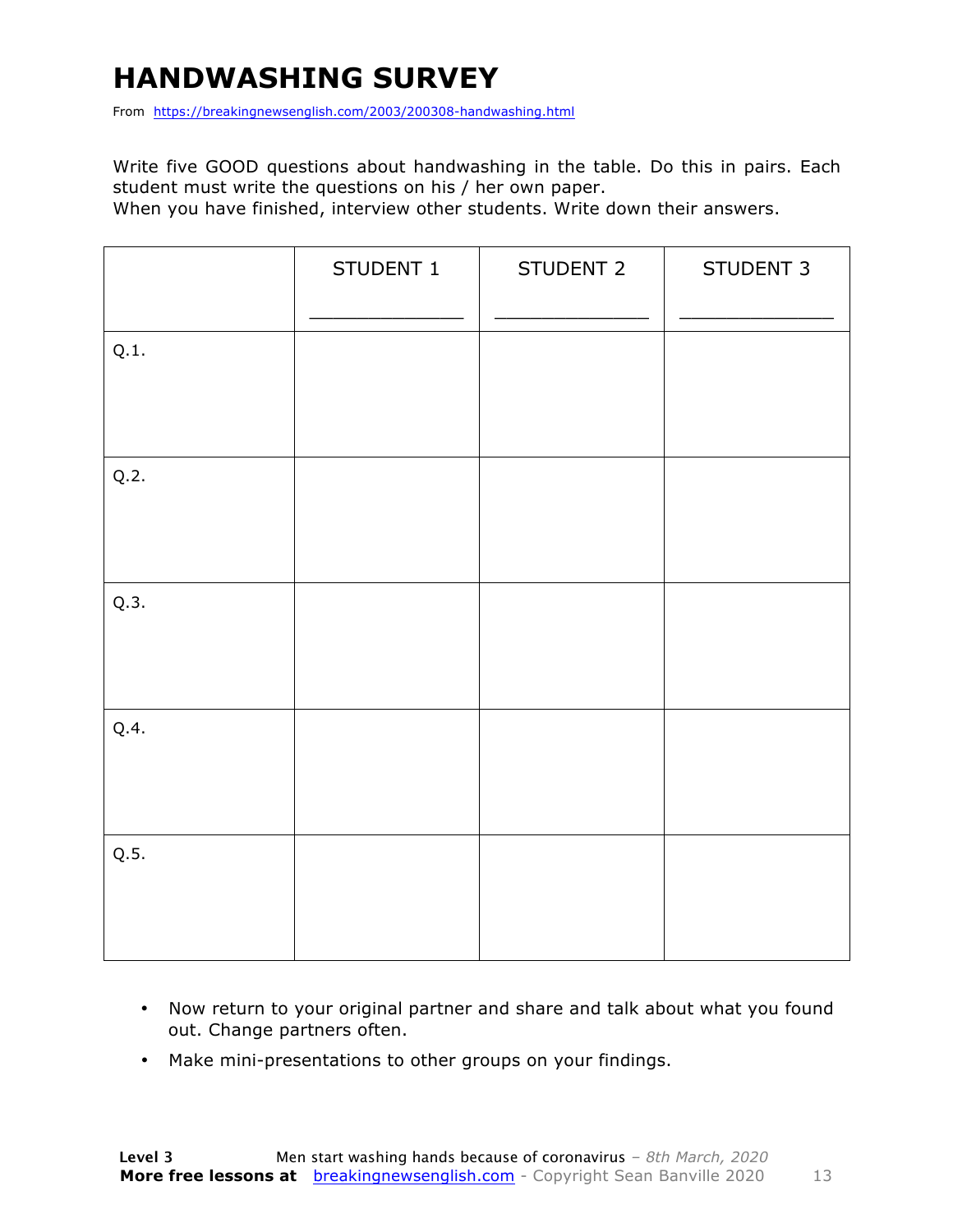### **HANDWASHING SURVEY**

From https://breakingnewsenglish.com/2003/200308-handwashing.html

Write five GOOD questions about handwashing in the table. Do this in pairs. Each student must write the questions on his / her own paper.

When you have finished, interview other students. Write down their answers.

|      | STUDENT 1 | STUDENT 2 | STUDENT 3 |
|------|-----------|-----------|-----------|
| Q.1. |           |           |           |
| Q.2. |           |           |           |
| Q.3. |           |           |           |
| Q.4. |           |           |           |
| Q.5. |           |           |           |

- Now return to your original partner and share and talk about what you found out. Change partners often.
- Make mini-presentations to other groups on your findings.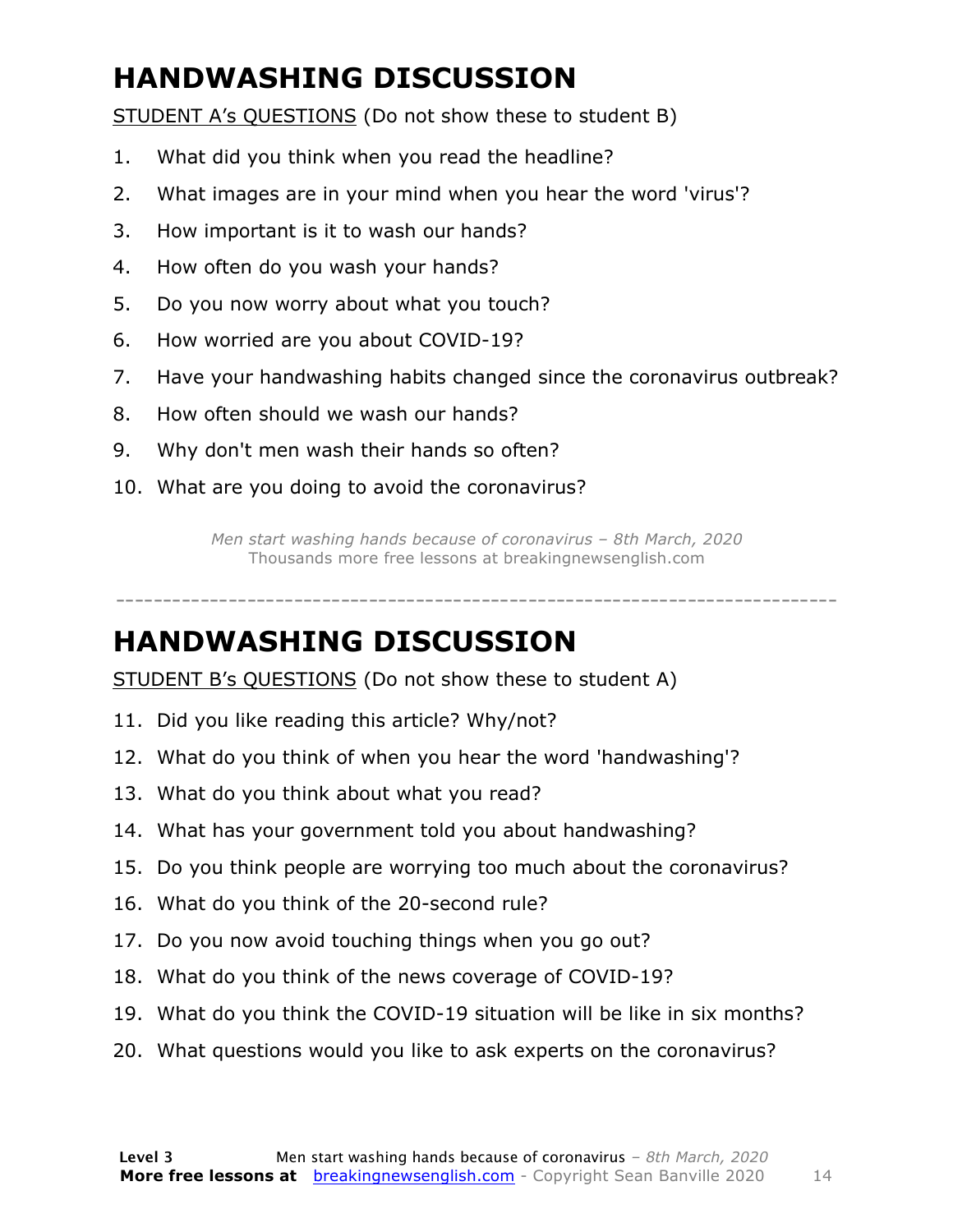### **HANDWASHING DISCUSSION**

STUDENT A's QUESTIONS (Do not show these to student B)

- 1. What did you think when you read the headline?
- 2. What images are in your mind when you hear the word 'virus'?
- 3. How important is it to wash our hands?
- 4. How often do you wash your hands?
- 5. Do you now worry about what you touch?
- 6. How worried are you about COVID-19?
- 7. Have your handwashing habits changed since the coronavirus outbreak?
- 8. How often should we wash our hands?
- 9. Why don't men wash their hands so often?
- 10. What are you doing to avoid the coronavirus?

*Men start washing hands because of coronavirus – 8th March, 2020* Thousands more free lessons at breakingnewsenglish.com

-----------------------------------------------------------------------------

#### **HANDWASHING DISCUSSION**

STUDENT B's QUESTIONS (Do not show these to student A)

- 11. Did you like reading this article? Why/not?
- 12. What do you think of when you hear the word 'handwashing'?
- 13. What do you think about what you read?
- 14. What has your government told you about handwashing?
- 15. Do you think people are worrying too much about the coronavirus?
- 16. What do you think of the 20-second rule?
- 17. Do you now avoid touching things when you go out?
- 18. What do you think of the news coverage of COVID-19?
- 19. What do you think the COVID-19 situation will be like in six months?
- 20. What questions would you like to ask experts on the coronavirus?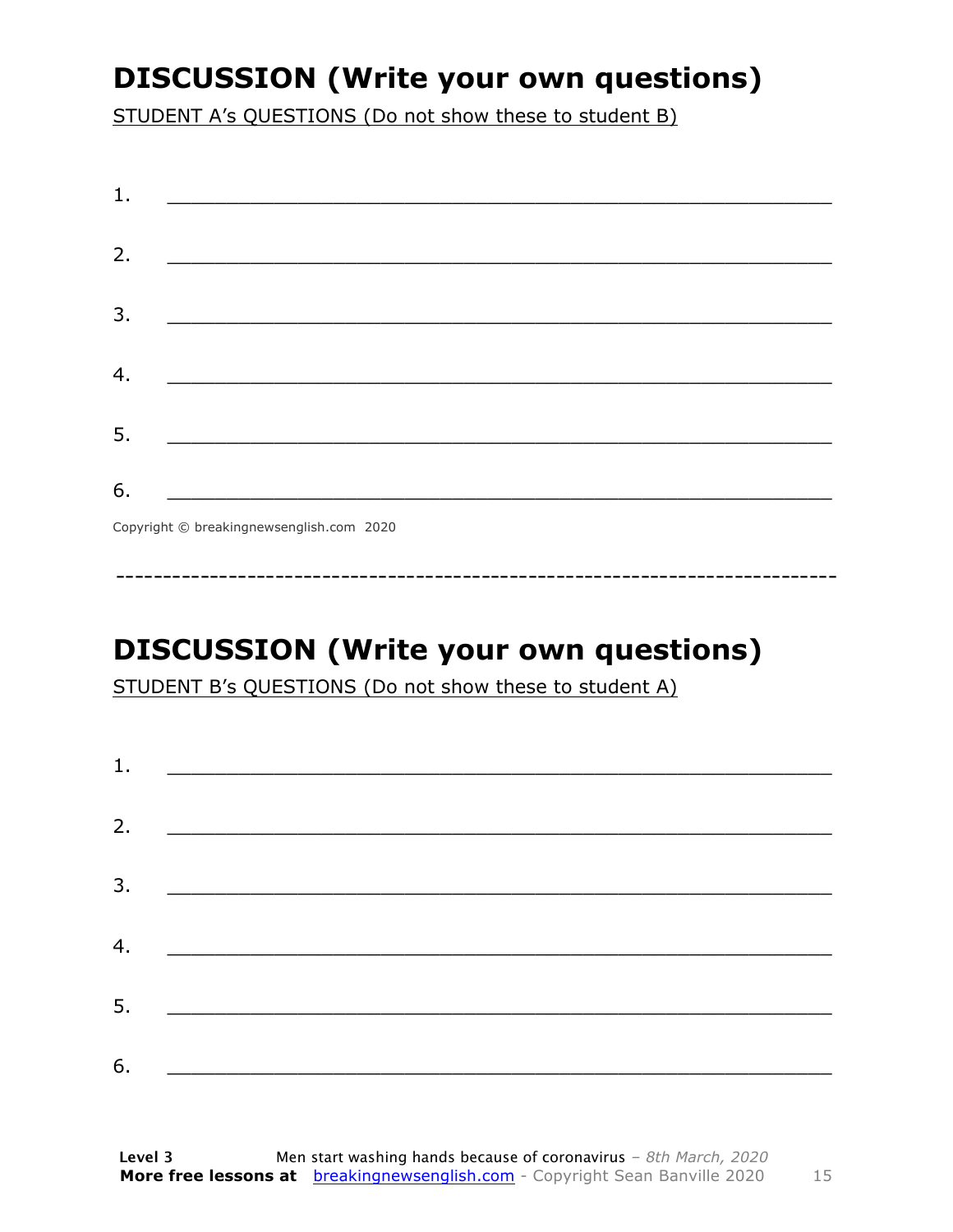### **DISCUSSION (Write your own questions)**

STUDENT A's QUESTIONS (Do not show these to student B)

| 1. |                                          |
|----|------------------------------------------|
|    |                                          |
| 2. |                                          |
|    |                                          |
| 3. |                                          |
|    |                                          |
| 4. |                                          |
|    |                                          |
| 5. |                                          |
|    |                                          |
| 6. | <u> 1990 - Johann Barbara, martin d</u>  |
|    | Convright © breakingnewsenglish com 2020 |

Copyright © breakingnewsenglish.com 2020

### **DISCUSSION (Write your own questions)**

STUDENT B's QUESTIONS (Do not show these to student A)

| 1. |                                                                                                                         |  |  |
|----|-------------------------------------------------------------------------------------------------------------------------|--|--|
|    |                                                                                                                         |  |  |
| 2. | <u> 1980 - Andrea Stationer, fransk politiker (d. 1980)</u>                                                             |  |  |
| 3. |                                                                                                                         |  |  |
|    |                                                                                                                         |  |  |
| 4. | <u> 1980 - Jan Samuel Barbara, margaret eta idazlea (h. 1980).</u>                                                      |  |  |
| 5. | <u> 1986 - Johann Stoff, deutscher Stoffen und der Stoffen und der Stoffen und der Stoffen und der Stoffen und der </u> |  |  |
|    |                                                                                                                         |  |  |
| 6. | <u> 1989 - Johann John Stone, market fan it ferskearre fan it ferskearre fan it ferskearre fan it ferskearre fan i</u>  |  |  |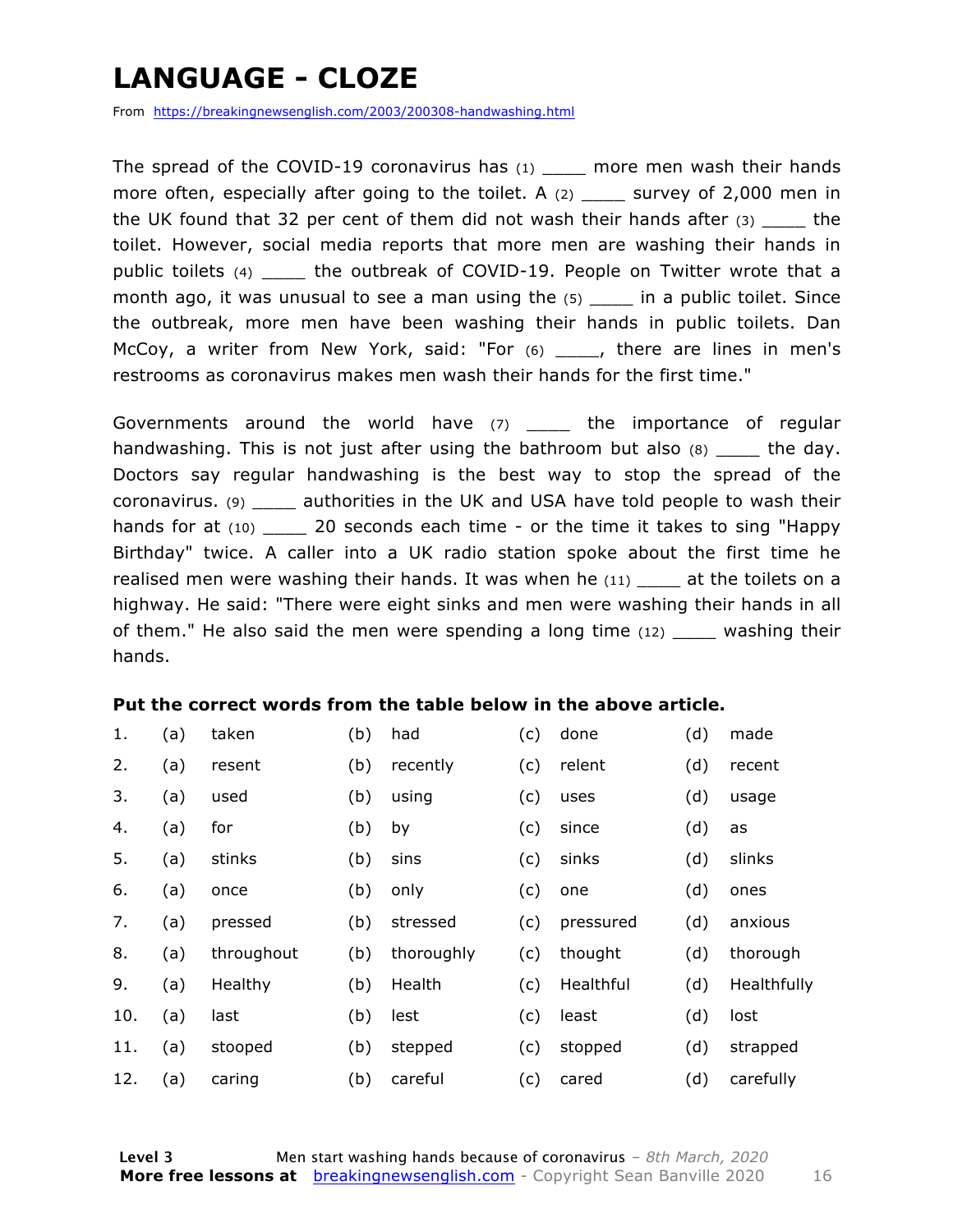### **LANGUAGE - CLOZE**

From https://breakingnewsenglish.com/2003/200308-handwashing.html

The spread of the COVID-19 coronavirus has  $(1)$  more men wash their hands more often, especially after going to the toilet. A  $(2)$  \_\_\_\_\_ survey of 2,000 men in the UK found that 32 per cent of them did not wash their hands after  $(3)$  the toilet. However, social media reports that more men are washing their hands in public toilets (4) \_\_\_\_ the outbreak of COVID-19. People on Twitter wrote that a month ago, it was unusual to see a man using the  $(5)$  in a public toilet. Since the outbreak, more men have been washing their hands in public toilets. Dan McCoy, a writer from New York, said: "For (6) \_\_\_\_, there are lines in men's restrooms as coronavirus makes men wash their hands for the first time."

Governments around the world have  $(7)$  \_\_\_\_ the importance of regular handwashing. This is not just after using the bathroom but also  $(8)$  the day. Doctors say regular handwashing is the best way to stop the spread of the coronavirus. (9) \_\_\_\_ authorities in the UK and USA have told people to wash their hands for at  $(10)$  20 seconds each time - or the time it takes to sing "Happy" Birthday" twice. A caller into a UK radio station spoke about the first time he realised men were washing their hands. It was when he (11) \_\_\_\_ at the toilets on a highway. He said: "There were eight sinks and men were washing their hands in all of them." He also said the men were spending a long time  $(12)$  washing their hands.

#### **Put the correct words from the table below in the above article.**

| 1.  | (a) | taken      | (b) | had        | (c) | done      | (d) | made        |
|-----|-----|------------|-----|------------|-----|-----------|-----|-------------|
| 2.  | (a) | resent     | (b) | recently   | (c) | relent    | (d) | recent      |
| 3.  | (a) | used       | (b) | using      | (c) | uses      | (d) | usage       |
| 4.  | (a) | for        | (b) | by         | (c) | since     | (d) | as          |
| 5.  | (a) | stinks     | (b) | sins       | (c) | sinks     | (d) | slinks      |
| 6.  | (a) | once       | (b) | only       | (c) | one       | (d) | ones        |
| 7.  | (a) | pressed    | (b) | stressed   | (c) | pressured | (d) | anxious     |
| 8.  | (a) | throughout | (b) | thoroughly | (c) | thought   | (d) | thorough    |
| 9.  | (a) | Healthy    | (b) | Health     | (c) | Healthful | (d) | Healthfully |
| 10. | (a) | last       | (b) | lest       | (c) | least     | (d) | lost        |
| 11. | (a) | stooped    | (b) | stepped    | (c) | stopped   | (d) | strapped    |
| 12. | (a) | caring     | (b) | careful    | (c) | cared     | (d) | carefully   |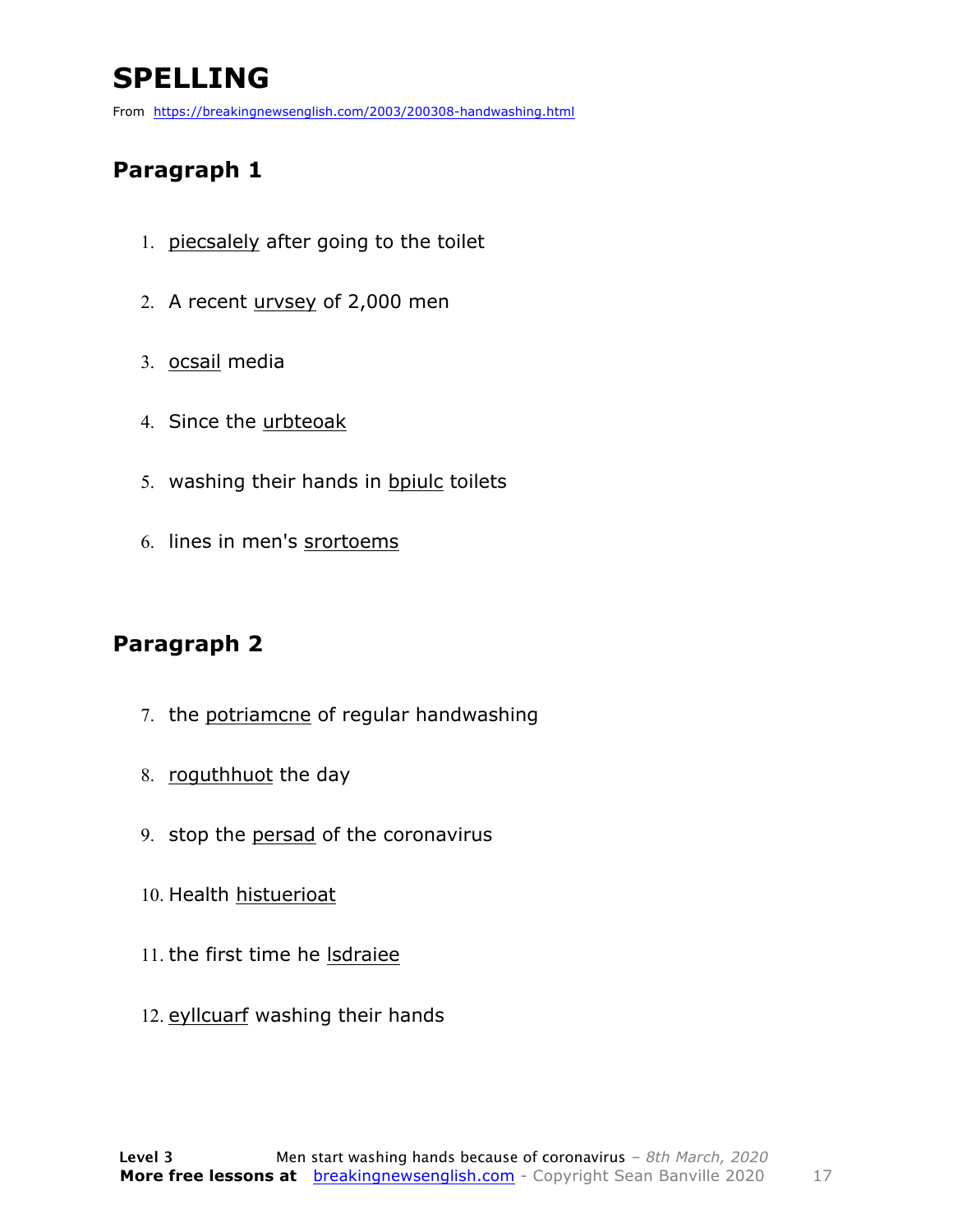### **SPELLING**

From https://breakingnewsenglish.com/2003/200308-handwashing.html

#### **Paragraph 1**

- 1. piecsalely after going to the toilet
- 2. A recent urvsey of 2,000 men
- 3. ocsail media
- 4. Since the urbteoak
- 5. washing their hands in bpiulc toilets
- 6. lines in men's srortoems

#### **Paragraph 2**

- 7. the potriamcne of regular handwashing
- 8. roguthhuot the day
- 9. stop the persad of the coronavirus
- 10. Health histuerioat
- 11. the first time he lsdraiee
- 12. eyllcuarf washing their hands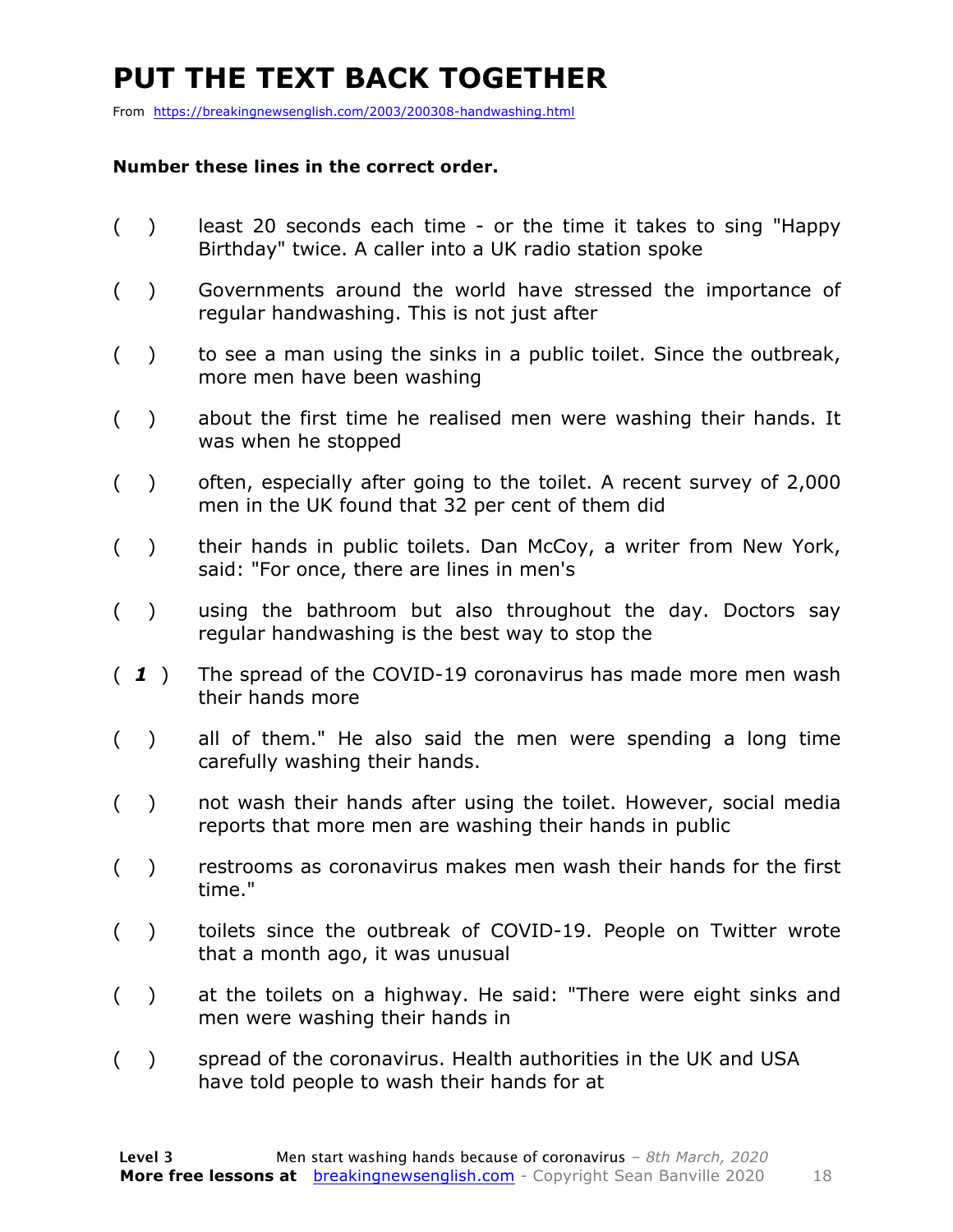### **PUT THE TEXT BACK TOGETHER**

From https://breakingnewsenglish.com/2003/200308-handwashing.html

#### **Number these lines in the correct order.**

- ( ) least 20 seconds each time or the time it takes to sing "Happy Birthday" twice. A caller into a UK radio station spoke
- ( ) Governments around the world have stressed the importance of regular handwashing. This is not just after
- $($ ) to see a man using the sinks in a public toilet. Since the outbreak, more men have been washing
- ( ) about the first time he realised men were washing their hands. It was when he stopped
- ( ) often, especially after going to the toilet. A recent survey of 2,000 men in the UK found that 32 per cent of them did
- ( ) their hands in public toilets. Dan McCoy, a writer from New York, said: "For once, there are lines in men's
- ( ) using the bathroom but also throughout the day. Doctors say regular handwashing is the best way to stop the
- ( *1* ) The spread of the COVID-19 coronavirus has made more men wash their hands more
- ( ) all of them." He also said the men were spending a long time carefully washing their hands.
- ( ) not wash their hands after using the toilet. However, social media reports that more men are washing their hands in public
- ( ) restrooms as coronavirus makes men wash their hands for the first time."
- ( ) toilets since the outbreak of COVID-19. People on Twitter wrote that a month ago, it was unusual
- ( ) at the toilets on a highway. He said: "There were eight sinks and men were washing their hands in
- ( ) spread of the coronavirus. Health authorities in the UK and USA have told people to wash their hands for at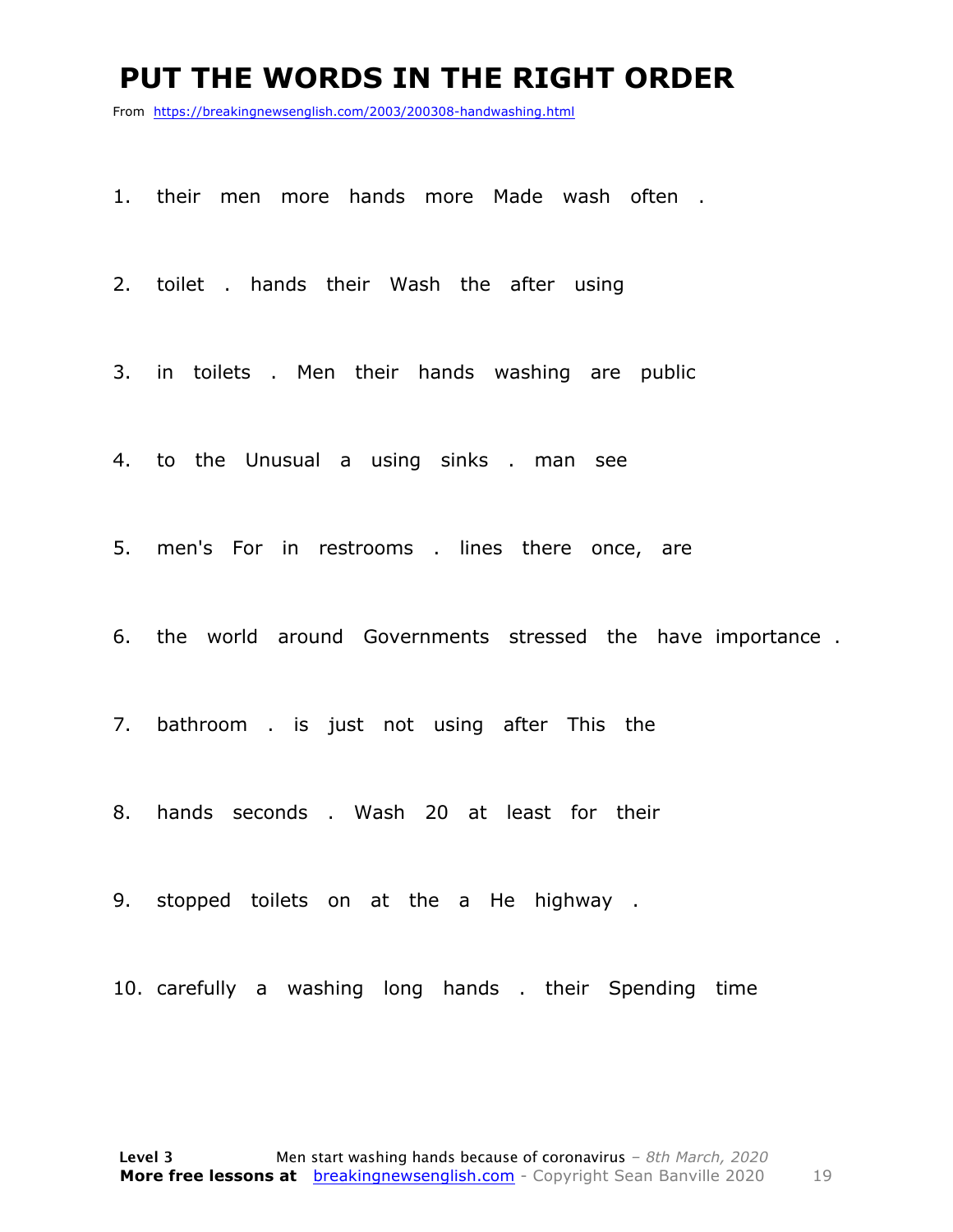#### **PUT THE WORDS IN THE RIGHT ORDER**

From https://breakingnewsenglish.com/2003/200308-handwashing.html

1. their men more hands more Made wash often .

2. toilet . hands their Wash the after using

3. in toilets . Men their hands washing are public

4. to the Unusual a using sinks . man see

5. men's For in restrooms . lines there once, are

6. the world around Governments stressed the have importance .

7. bathroom . is just not using after This the

8. hands seconds . Wash 20 at least for their

9. stopped toilets on at the a He highway .

10. carefully a washing long hands . their Spending time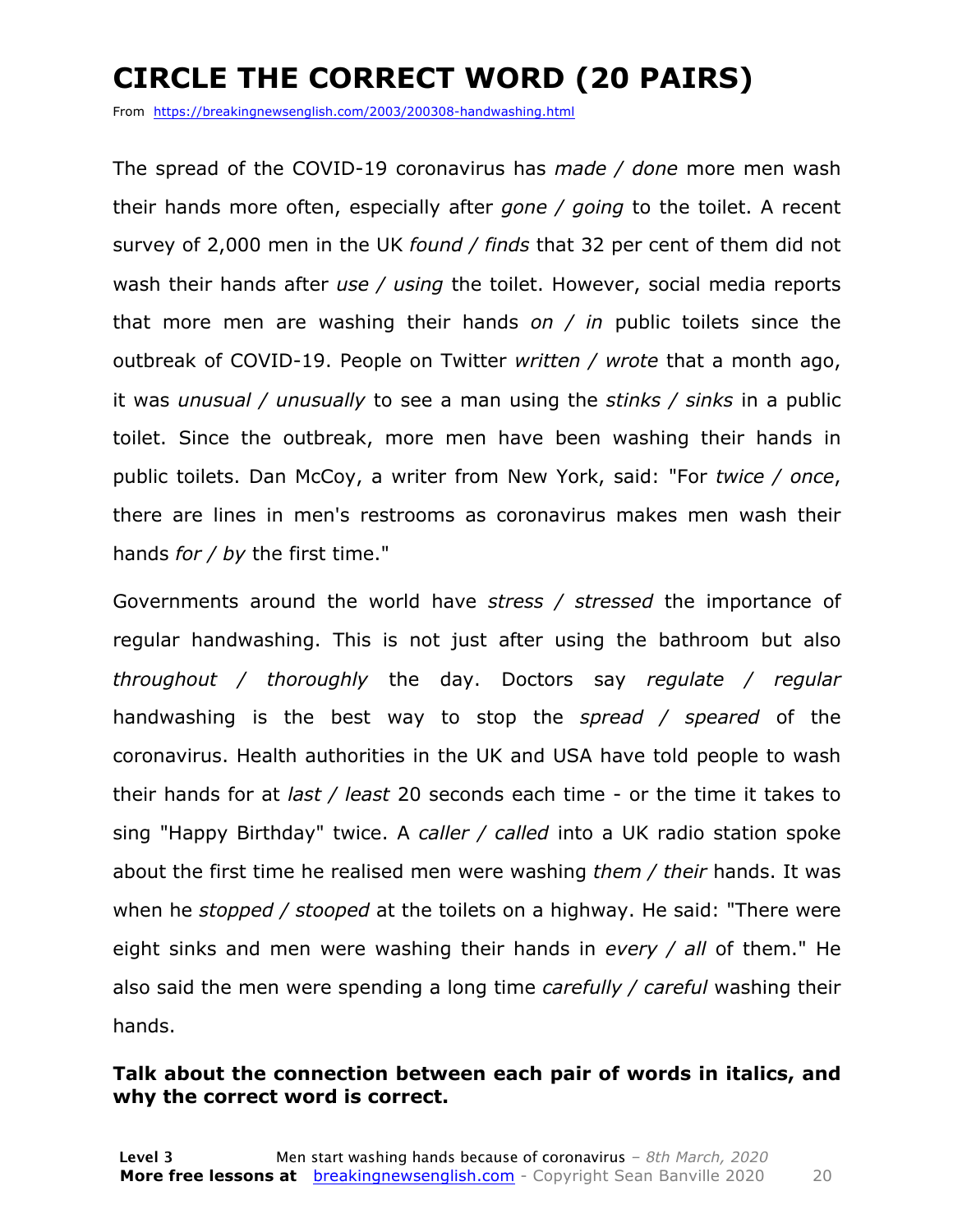### **CIRCLE THE CORRECT WORD (20 PAIRS)**

From https://breakingnewsenglish.com/2003/200308-handwashing.html

The spread of the COVID-19 coronavirus has *made / done* more men wash their hands more often, especially after *gone / going* to the toilet. A recent survey of 2,000 men in the UK *found / finds* that 32 per cent of them did not wash their hands after *use / using* the toilet. However, social media reports that more men are washing their hands *on / in* public toilets since the outbreak of COVID-19. People on Twitter *written / wrote* that a month ago, it was *unusual / unusually* to see a man using the *stinks / sinks* in a public toilet. Since the outbreak, more men have been washing their hands in public toilets. Dan McCoy, a writer from New York, said: "For *twice / once*, there are lines in men's restrooms as coronavirus makes men wash their hands *for / by* the first time."

Governments around the world have *stress / stressed* the importance of regular handwashing. This is not just after using the bathroom but also *throughout / thoroughly* the day. Doctors say *regulate / regular* handwashing is the best way to stop the *spread / speared* of the coronavirus. Health authorities in the UK and USA have told people to wash their hands for at *last / least* 20 seconds each time - or the time it takes to sing "Happy Birthday" twice. A *caller / called* into a UK radio station spoke about the first time he realised men were washing *them / their* hands. It was when he *stopped / stooped* at the toilets on a highway. He said: "There were eight sinks and men were washing their hands in *every / all* of them." He also said the men were spending a long time *carefully / careful* washing their hands.

#### **Talk about the connection between each pair of words in italics, and why the correct word is correct.**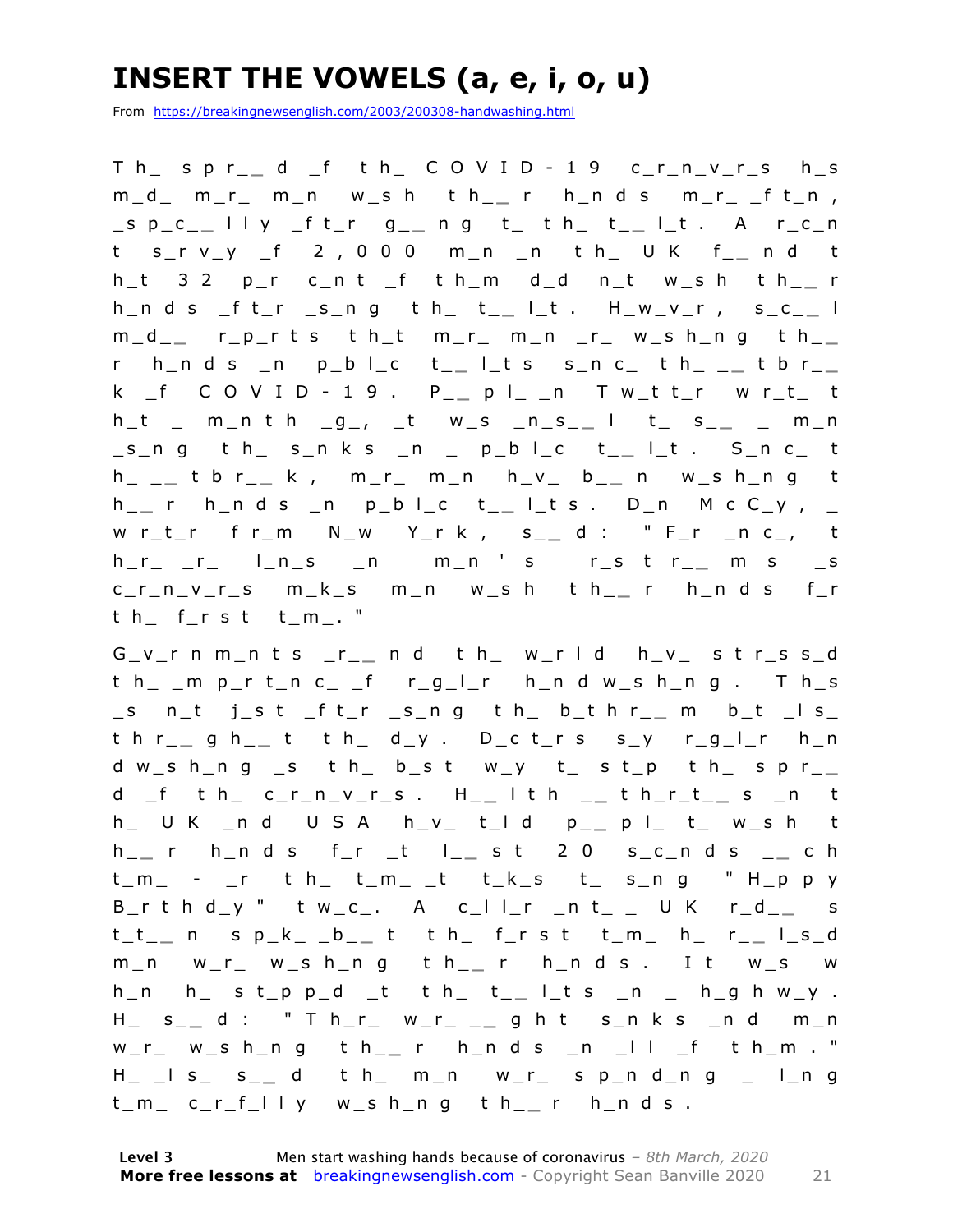### **INSERT THE VOWELS (a, e, i, o, u)**

From https://breakingnewsenglish.com/2003/200308-handwashing.html

T h\_ s p r\_ **\_** d \_f t h\_ C O V I D - 1 9 c\_r\_n\_v\_r\_s h\_s m\_d\_ m\_r\_ m\_n w\_s h t h\_ **\_** r h\_n d s m\_r\_ \_f t\_n , \_s p\_c\_ **\_** l l y \_f t\_r g\_ **\_** n g t\_ t h\_ t\_ **\_** l\_t . A r\_c\_n t s\_r v\_y \_f 2 , 0 0 0 m\_n \_n t h\_ U K f\_ **\_** n d t h\_t 3 2 p\_r c\_n t \_f t h\_m d\_d n\_t w\_s h t h\_ **\_** r h\_n d s \_f t\_r \_s\_n g t h\_ t\_ **\_** l\_t . H\_w\_v\_r , s\_c\_ **\_** l m\_d\_ **\_** r\_p\_r t s t h\_t m\_r\_ m\_n \_r\_ w\_s h\_n g t h\_ **\_**  r h\_n d s \_n p\_b l\_c t\_ **\_** l\_t s s\_n c\_ t h\_ \_ **\_** t b r\_ **\_**  k \_f C O V I D - 1 9 . P\_ **\_** p l\_ \_n T w\_t t\_r w r\_t\_ t h\_t \_ m\_n t h \_g\_, \_t w\_s \_n\_s\_ **\_** l t\_ s\_ **\_** \_ m\_n \_s\_n g t h\_ s\_n k s \_n \_ p\_b l\_c t\_ **\_** l\_t . S\_n c\_ t h\_ \_ **\_** t b r\_ **\_** k , m\_r\_ m\_n h\_v\_ b\_ **\_** n w\_s h\_n g t h \_ **\_** r h\_n d s \_n p\_b l\_ c t\_ **\_** l\_t s . D\_n M c C\_y , \_ w r\_t\_r f r\_m N\_w Y\_r k , s\_ **\_** d : " F\_r \_n c\_, t  $h_r = r_r = 1 - n_s = n$  m\_n s  $r_s$  t  $r_{-}$  m s  $_s$ c\_r\_n\_v\_r\_s m\_k\_s m\_n w\_s h t h\_ **\_** r h\_n d s f\_r t h\_ f\_r s t t\_m\_. "

G\_v\_r n m\_n t s \_r\_ **\_** n d t h\_ w\_r l d h\_v\_ s t r\_s s\_d t h\_ \_m p\_r t\_n c\_ \_f r\_g\_l\_r h\_n d w\_s h\_n g . T h\_s \_s n\_t j\_s t \_f t\_r \_s\_n g t h\_ b\_t h r\_ **\_** m b\_t \_l s\_ t h r\_ **\_** g h\_ **\_** t t h\_ d\_y . D\_c t\_r s s\_y r\_g\_l\_r h\_n d w\_s h\_n g \_s t h\_ b\_s t w\_y t\_ s t\_p t h\_ s p r\_ **\_**  d \_f t h\_ c\_r\_n\_v\_r\_s . H\_ **\_** l t h \_ **\_** t h\_r\_t\_ **\_** s \_n t h\_ U K \_n d U S A h\_v\_ t\_l d p\_ **\_** p l\_ t\_ w\_s h t h \_ **\_** r h\_n d s f\_r \_t l\_ **\_** s t 2 0 s\_c\_n d s \_ **\_** c h t\_m\_ - \_r t h\_ t\_m\_ \_t t\_k\_s t\_ s\_n g " H\_p p y B\_r t h d\_y " t w\_c\_. A c\_l l\_r \_n t\_ \_ U K r\_d\_ **\_** s t\_t\_ **\_** n s p\_k\_ \_b\_ **\_** t t h\_ f\_r s t t\_m\_ h\_ r\_ **\_** l\_s\_d m\_n w\_r\_ w\_s h\_n g t h\_ **\_** r h\_n d s . I t w\_s w h\_n h\_ s t\_p p\_d \_t t h\_ t\_ **\_** l\_t s \_n \_ h\_g h w\_y . H\_ s\_ **\_** d : " T h\_r\_ w\_r\_ \_ **\_** g h t s\_n k s \_n d m\_n w\_r\_ w\_s h\_n g t h\_ **\_** r h\_n d s \_n \_l l \_f t h\_m . " H\_ \_l s\_ s\_ **\_** d t h\_ m\_n w\_r\_ s p\_n d\_n g \_ l\_n g t\_m\_ c\_r\_f\_l l y w\_s h\_n g t h\_ **\_** r h\_n d s .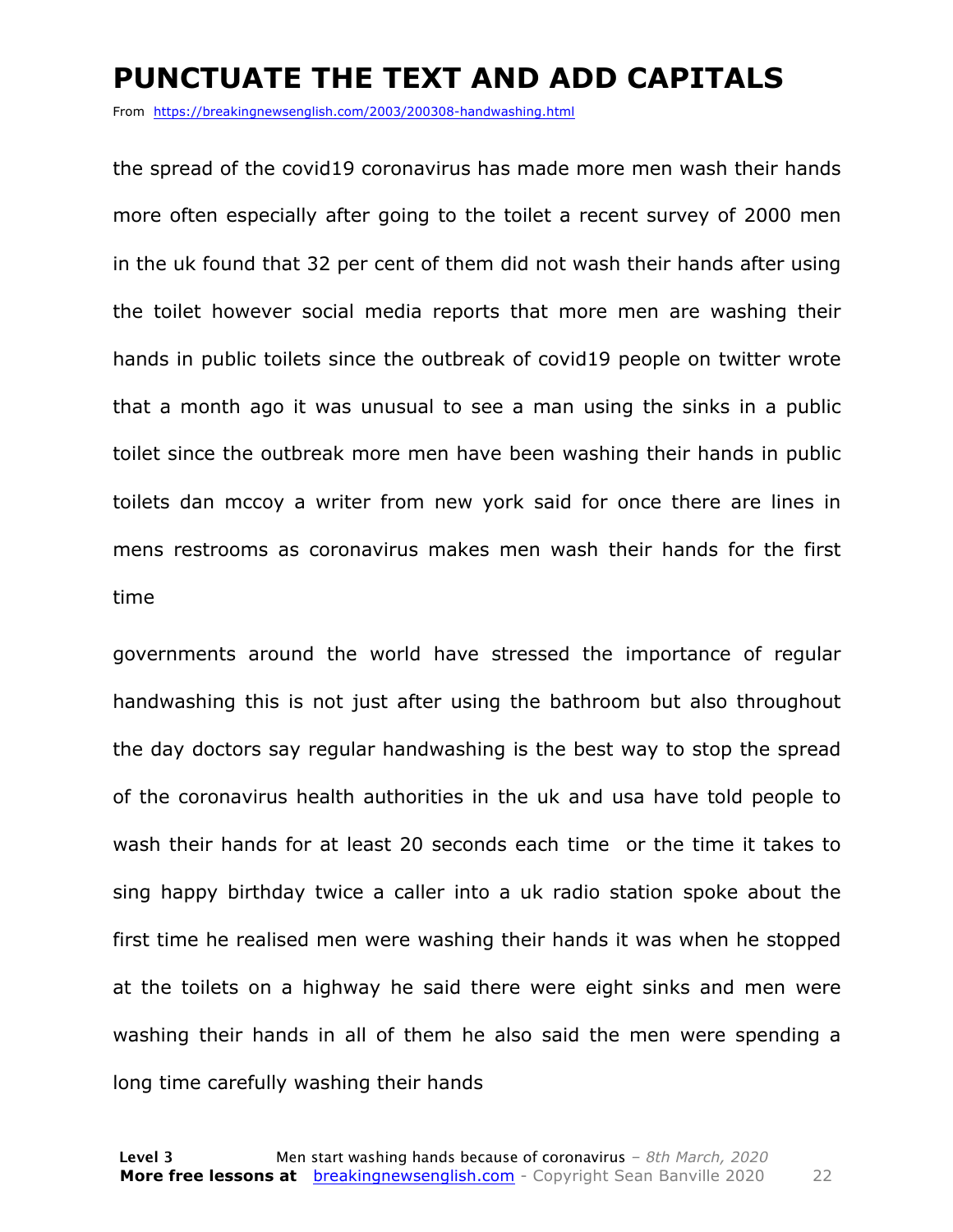#### **PUNCTUATE THE TEXT AND ADD CAPITALS**

From https://breakingnewsenglish.com/2003/200308-handwashing.html

the spread of the covid19 coronavirus has made more men wash their hands more often especially after going to the toilet a recent survey of 2000 men in the uk found that 32 per cent of them did not wash their hands after using the toilet however social media reports that more men are washing their hands in public toilets since the outbreak of covid19 people on twitter wrote that a month ago it was unusual to see a man using the sinks in a public toilet since the outbreak more men have been washing their hands in public toilets dan mccoy a writer from new york said for once there are lines in mens restrooms as coronavirus makes men wash their hands for the first time

governments around the world have stressed the importance of regular handwashing this is not just after using the bathroom but also throughout the day doctors say regular handwashing is the best way to stop the spread of the coronavirus health authorities in the uk and usa have told people to wash their hands for at least 20 seconds each time or the time it takes to sing happy birthday twice a caller into a uk radio station spoke about the first time he realised men were washing their hands it was when he stopped at the toilets on a highway he said there were eight sinks and men were washing their hands in all of them he also said the men were spending a long time carefully washing their hands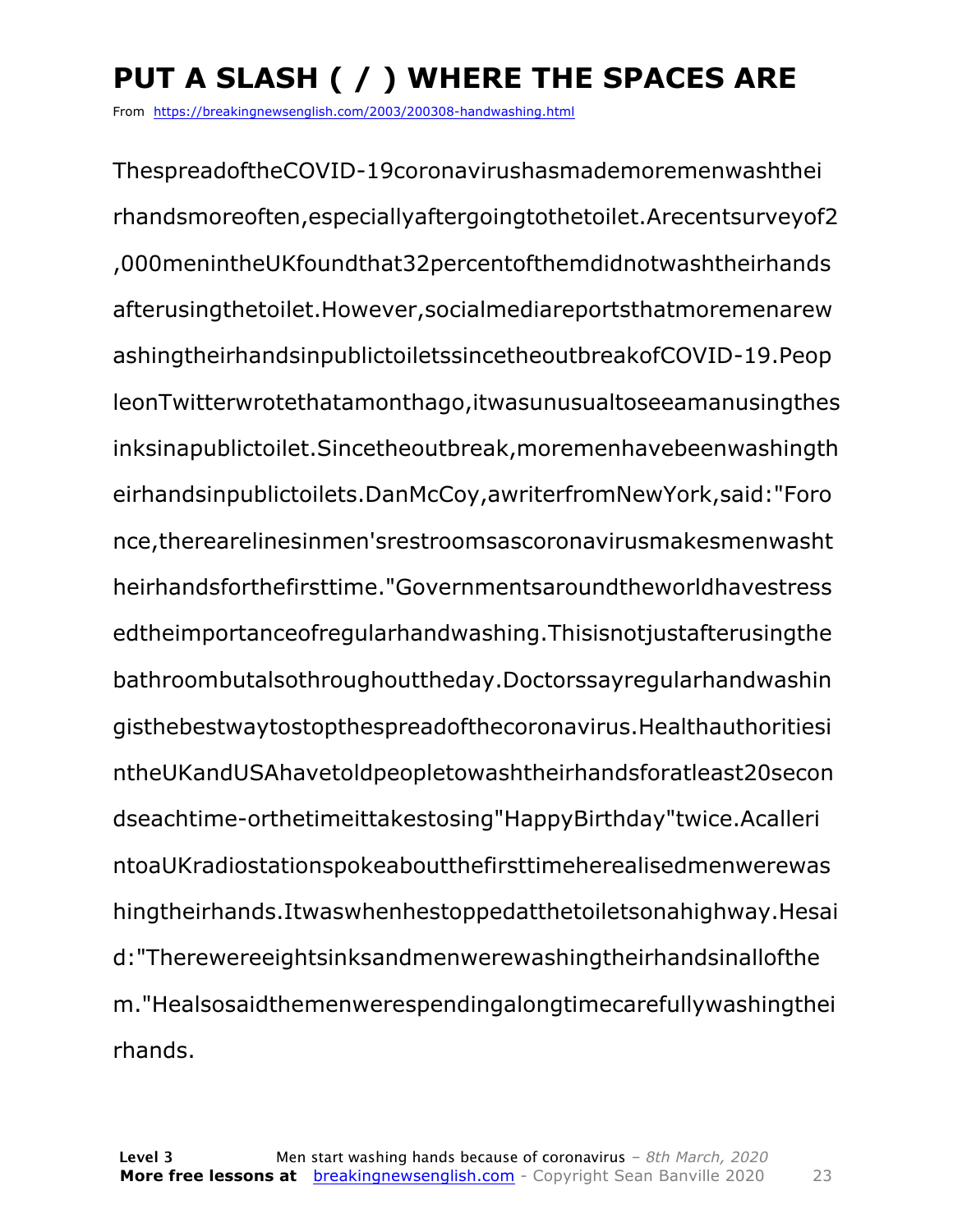## **PUT A SLASH ( / ) WHERE THE SPACES ARE**

From https://breakingnewsenglish.com/2003/200308-handwashing.html

ThespreadoftheCOVID-19coronavirushasmademoremenwashthei rhandsmoreoften,especiallyaftergoingtothetoilet.Arecentsurveyof2 ,000menintheUKfoundthat32percentofthemdidnotwashtheirhands afterusingthetoilet.However,socialmediareportsthatmoremenarew ashingtheirhandsinpublictoiletssincetheoutbreakofCOVID-19.Peop leonTwitterwrotethatamonthago,itwasunusualtoseeamanusingthes inksinapublictoilet.Sincetheoutbreak,moremenhavebeenwashingth eirhandsinpublictoilets.DanMcCoy,awriterfromNewYork,said:"Foro nce,therearelinesinmen'srestroomsascoronavirusmakesmenwasht heirhandsforthefirsttime."Governmentsaroundtheworldhavestress edtheimportanceofregularhandwashing.Thisisnotjustafterusingthe bathroombutalsothroughouttheday.Doctorssayregularhandwashin gisthebestwaytostopthespreadofthecoronavirus.Healthauthoritiesi ntheUKandUSAhavetoldpeopletowashtheirhandsforatleast20secon dseachtime-orthetimeittakestosing"HappyBirthday"twice.Acalleri ntoaUKradiostationspokeaboutthefirsttimeherealisedmenwerewas hingtheirhands.Itwaswhenhestoppedatthetoiletsonahighway.Hesai d:"Therewereeightsinksandmenwerewashingtheirhandsinallofthe m."Healsosaidthemenwerespendingalongtimecarefullywashingthei rhands.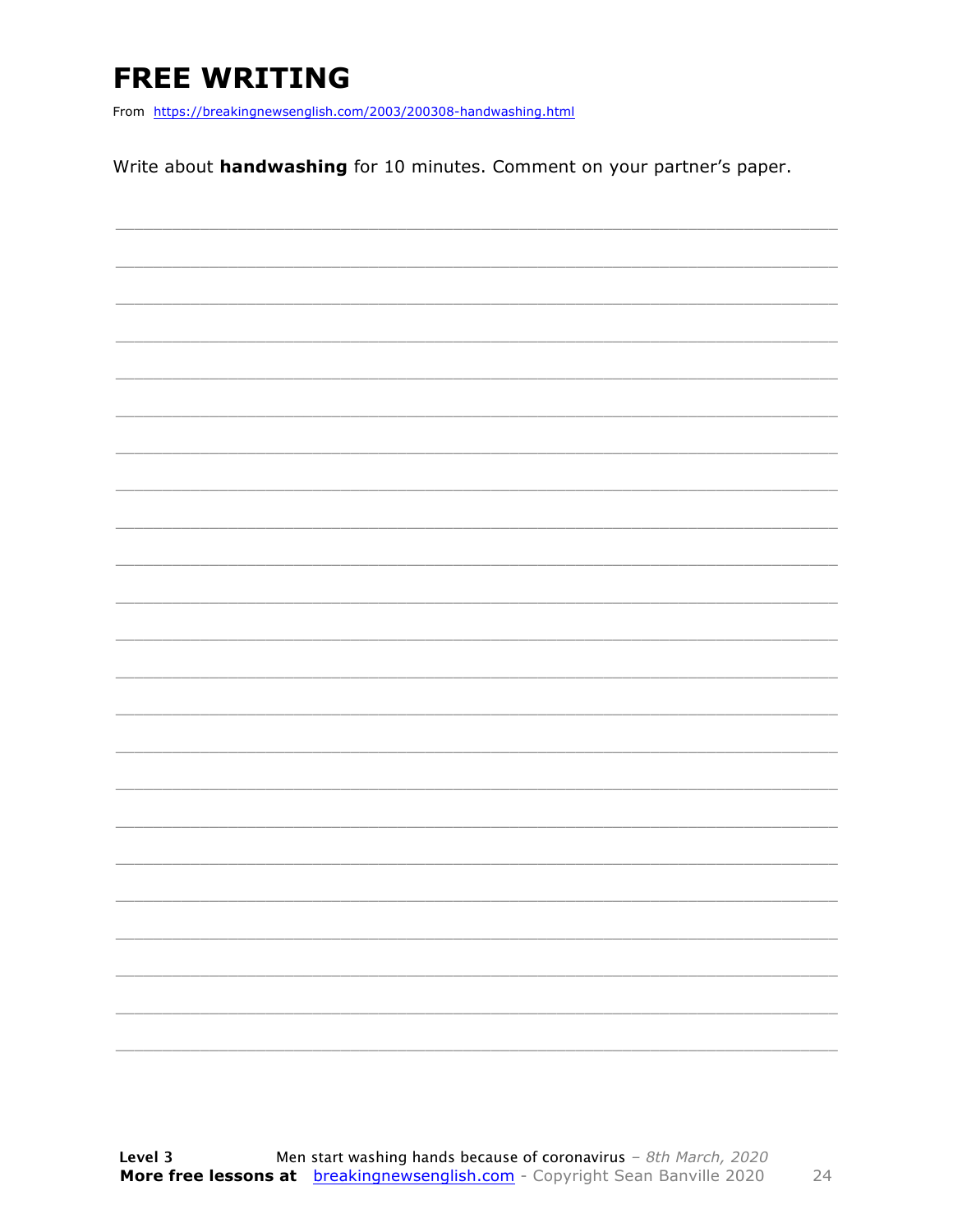### **FREE WRITING**

From https://breakingnewsenglish.com/2003/200308-handwashing.html

Write about handwashing for 10 minutes. Comment on your partner's paper.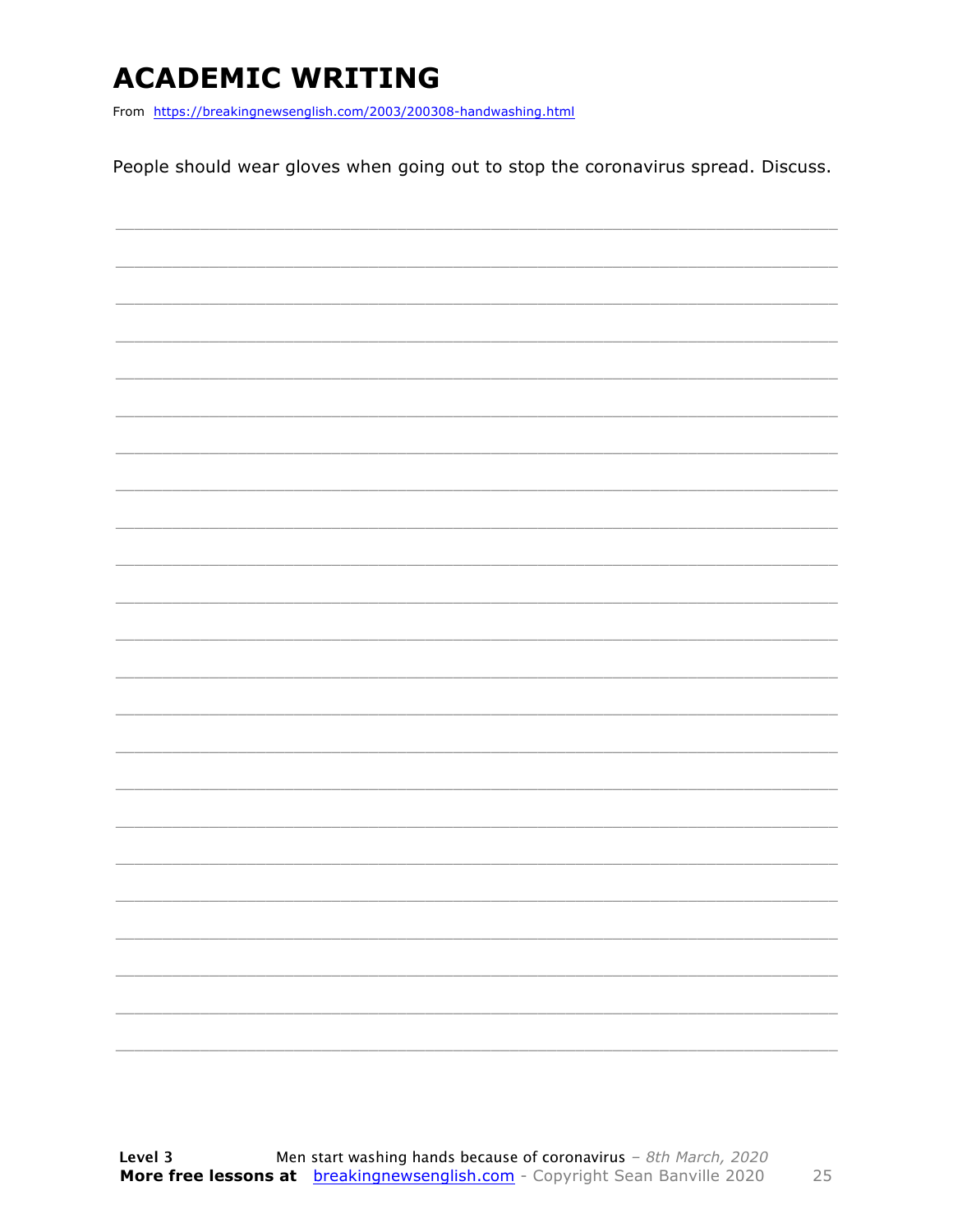### **ACADEMIC WRITING**

From https://breakingnewsenglish.com/2003/200308-handwashing.html

People should wear gloves when going out to stop the coronavirus spread. Discuss.

|  |  |  | ____          |
|--|--|--|---------------|
|  |  |  | $\frac{1}{2}$ |
|  |  |  |               |
|  |  |  |               |
|  |  |  |               |
|  |  |  |               |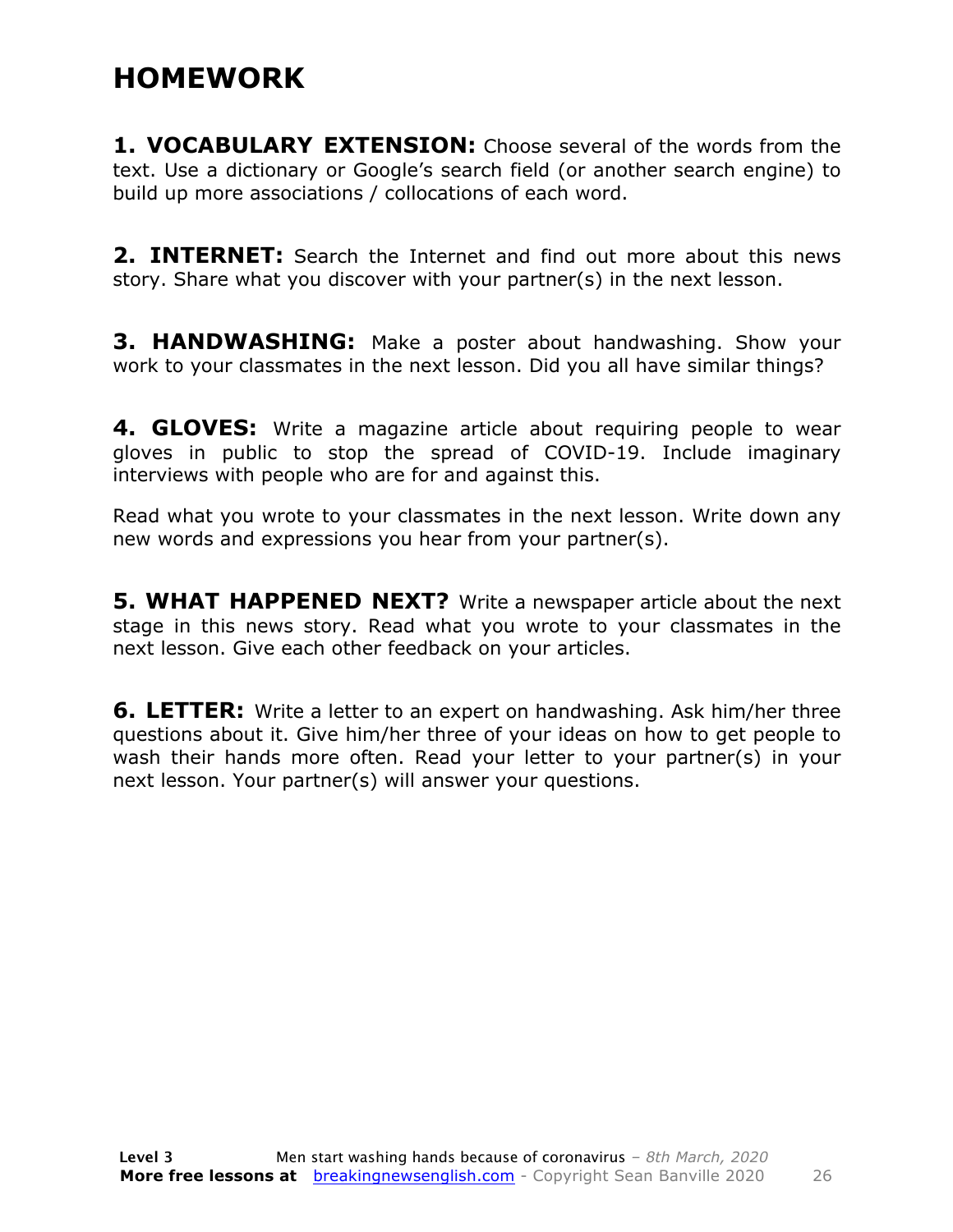### **HOMEWORK**

**1. VOCABULARY EXTENSION:** Choose several of the words from the text. Use a dictionary or Google's search field (or another search engine) to build up more associations / collocations of each word.

**2. INTERNET:** Search the Internet and find out more about this news story. Share what you discover with your partner(s) in the next lesson.

**3. HANDWASHING:** Make a poster about handwashing. Show your work to your classmates in the next lesson. Did you all have similar things?

**4. GLOVES:** Write a magazine article about requiring people to wear gloves in public to stop the spread of COVID-19. Include imaginary interviews with people who are for and against this.

Read what you wrote to your classmates in the next lesson. Write down any new words and expressions you hear from your partner(s).

**5. WHAT HAPPENED NEXT?** Write a newspaper article about the next stage in this news story. Read what you wrote to your classmates in the next lesson. Give each other feedback on your articles.

**6. LETTER:** Write a letter to an expert on handwashing. Ask him/her three questions about it. Give him/her three of your ideas on how to get people to wash their hands more often. Read your letter to your partner(s) in your next lesson. Your partner(s) will answer your questions.